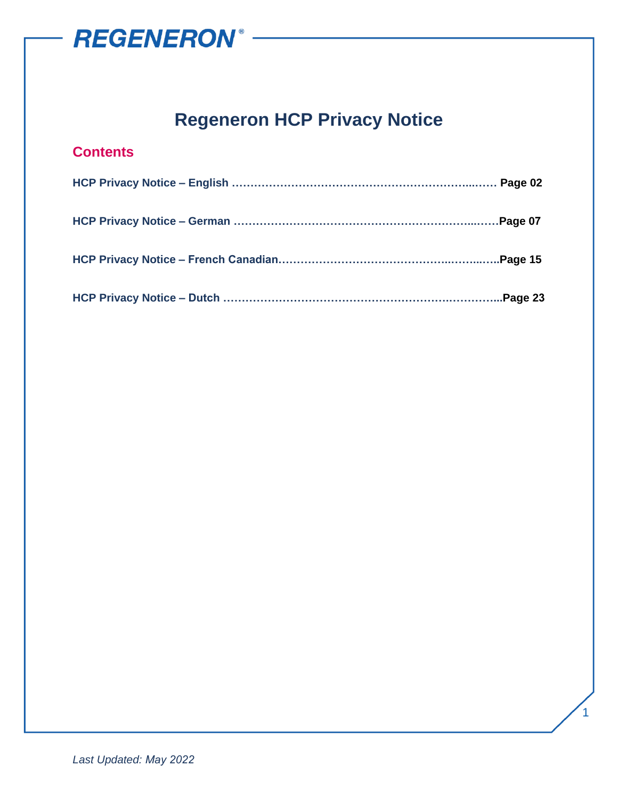

### **Regeneron HCP Privacy Notice**

### **Contents**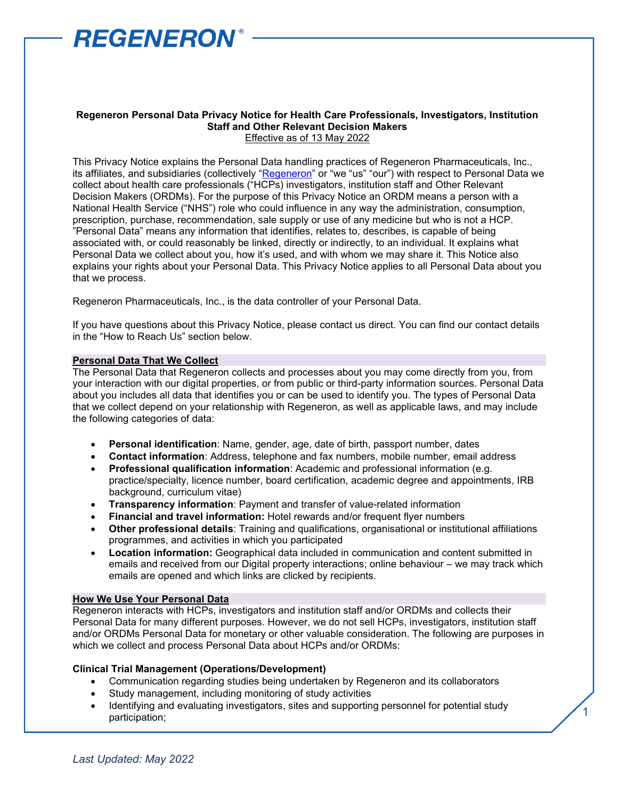

#### **Regeneron Personal Data Privacy Notice for Health Care Professionals, Investigators, Institution Staff and Other Relevant Decision Makers** Effective as of 13 May 2022

This Privacy Notice explains the Personal Data handling practices of Regeneron Pharmaceuticals, Inc., its affiliates, and subsidiaries (collectively ["Regeneron"](https://regn.sharepoint.com/:p:/r/sites/RON/Accounting/_layouts/15/Doc.aspx?sourcedoc=%7b5B82AEC6-386E-40C8-BCA8-E9F799FA5F0F%7d&file=Regeneron%20Legal%20Entity%20Chart.pptx&action=edit&mobileredirect=true&DefaultItemOpen=1&cid=1bdd2349-b62f-40d7-9a9f-afe078f59b43&CID=BA876916-46A2-4B2D-B85F-6E9AD2333415&wdLOR=cBE755280-CC17-4EEC-85A9-E83914CEA243) or "we "us" "our") with respect to Personal Data we collect about health care professionals ("HCPs) investigators, institution staff and Other Relevant Decision Makers (ORDMs). For the purpose of this Privacy Notice an ORDM means a person with a National Health Service ("NHS") role who could influence in any way the administration, consumption, prescription, purchase, recommendation, sale supply or use of any medicine but who is not a HCP. "Personal Data" means any information that identifies, relates to, describes, is capable of being associated with, or could reasonably be linked, directly or indirectly, to an individual. It explains what Personal Data we collect about you, how it's used, and with whom we may share it. This Notice also explains your rights about your Personal Data. This Privacy Notice applies to all Personal Data about you that we process.

Regeneron Pharmaceuticals, Inc., is the data controller of your Personal Data.

If you have questions about this Privacy Notice, please contact us direct. You can find our contact details in the "How to Reach Us" section below.

#### **Personal Data That We Collect**

The Personal Data that Regeneron collects and processes about you may come directly from you, from your interaction with our digital properties, or from public or third-party information sources. Personal Data about you includes all data that identifies you or can be used to identify you. The types of Personal Data that we collect depend on your relationship with Regeneron, as well as applicable laws, and may include the following categories of data:

- **Personal identification**: Name, gender, age, date of birth, passport number, dates
- **Contact information**: Address, telephone and fax numbers, mobile number, email address
- **Professional qualification information**: Academic and professional information (e.g. practice/specialty, licence number, board certification, academic degree and appointments, IRB background, curriculum vitae)
- **Transparency information**: Payment and transfer of value-related information
- **Financial and travel information:** Hotel rewards and/or frequent flyer numbers
- **Other professional details**: Training and qualifications, organisational or institutional affiliations programmes, and activities in which you participated
- **Location information:** Geographical data included in communication and content submitted in emails and received from our Digital property interactions; online behaviour – we may track which emails are opened and which links are clicked by recipients.

#### **How We Use Your Personal Data**

Regeneron interacts with HCPs, investigators and institution staff and/or ORDMs and collects their Personal Data for many different purposes. However, we do not sell HCPs, investigators, institution staff and/or ORDMs Personal Data for monetary or other valuable consideration. The following are purposes in which we collect and process Personal Data about HCPs and/or ORDMs:

#### **Clinical Trial Management (Operations/Development)**

- Communication regarding studies being undertaken by Regeneron and its collaborators
- Study management, including monitoring of study activities
- Identifying and evaluating investigators, sites and supporting personnel for potential study participation;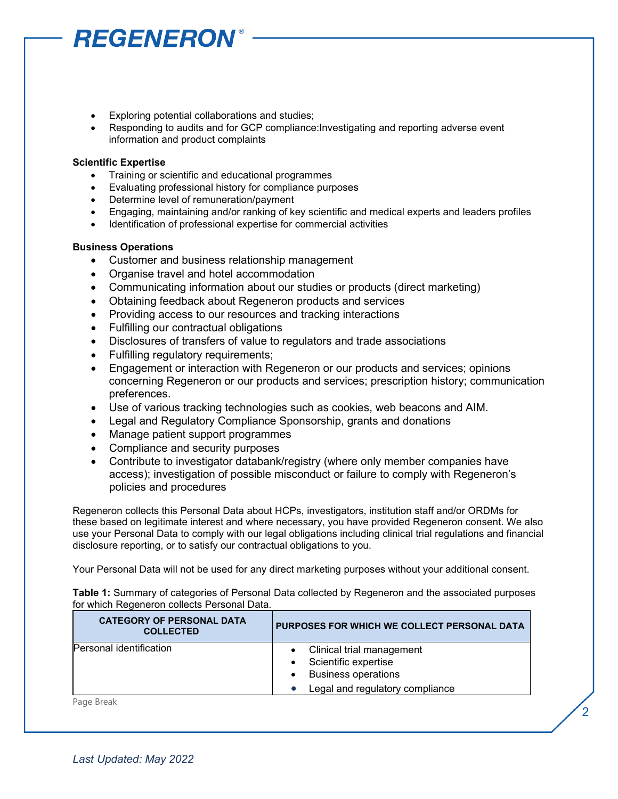- Exploring potential collaborations and studies;
- Responding to audits and for GCP compliance:Investigating and reporting adverse event information and product complaints

#### **Scientific Expertise**

- Training or scientific and educational programmes
- Evaluating professional history for compliance purposes
- Determine level of remuneration/payment
- Engaging, maintaining and/or ranking of key scientific and medical experts and leaders profiles
- Identification of professional expertise for commercial activities

#### **Business Operations**

- Customer and business relationship management
- Organise travel and hotel accommodation
- Communicating information about our studies or products (direct marketing)
- Obtaining feedback about Regeneron products and services
- Providing access to our resources and tracking interactions
- Fulfilling our contractual obligations
- Disclosures of transfers of value to regulators and trade associations
- Fulfilling regulatory requirements;
- Engagement or interaction with Regeneron or our products and services; opinions concerning Regeneron or our products and services; prescription history; communication preferences.
- Use of various tracking technologies such as cookies, web beacons and AIM.
- Legal and Regulatory Compliance Sponsorship, grants and donations
- Manage patient support programmes
- Compliance and security purposes
- Contribute to investigator databank/registry (where only member companies have access); investigation of possible misconduct or failure to comply with Regeneron's policies and procedures

Regeneron collects this Personal Data about HCPs, investigators, institution staff and/or ORDMs for these based on legitimate interest and where necessary, you have provided Regeneron consent. We also use your Personal Data to comply with our legal obligations including clinical trial regulations and financial disclosure reporting, or to satisfy our contractual obligations to you.

Your Personal Data will not be used for any direct marketing purposes without your additional consent.

**Table 1:** Summary of categories of Personal Data collected by Regeneron and the associated purposes for which Regeneron collects Personal Data.

| <b>CATEGORY OF PERSONAL DATA</b><br><b>COLLECTED</b> | PURPOSES FOR WHICH WE COLLECT PERSONAL DATA                                     |
|------------------------------------------------------|---------------------------------------------------------------------------------|
| Personal identification                              | Clinical trial management<br>Scientific expertise<br><b>Business operations</b> |
|                                                      | Legal and regulatory compliance                                                 |

2

Page Break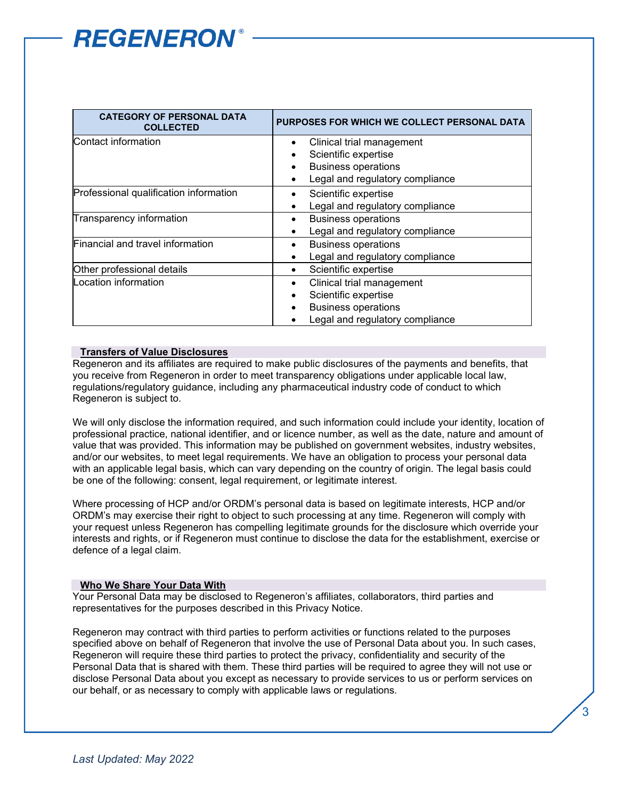| <b>CATEGORY OF PERSONAL DATA</b><br><b>COLLECTED</b> | PURPOSES FOR WHICH WE COLLECT PERSONAL DATA |
|------------------------------------------------------|---------------------------------------------|
| Contact information                                  | Clinical trial management                   |
|                                                      | Scientific expertise                        |
|                                                      | <b>Business operations</b>                  |
|                                                      | Legal and regulatory compliance             |
| Professional qualification information               | Scientific expertise                        |
|                                                      | Legal and regulatory compliance             |
| Transparency information                             | <b>Business operations</b>                  |
|                                                      | Legal and regulatory compliance             |
| Financial and travel information                     | <b>Business operations</b>                  |
|                                                      | Legal and regulatory compliance             |
| Other professional details                           | Scientific expertise<br>٠                   |
| Location information                                 | Clinical trial management                   |
|                                                      | Scientific expertise                        |
|                                                      | <b>Business operations</b>                  |
|                                                      | Legal and regulatory compliance             |

#### **Transfers of Value Disclosures**

Regeneron and its affiliates are required to make public disclosures of the payments and benefits, that you receive from Regeneron in order to meet transparency obligations under applicable local law, regulations/regulatory guidance, including any pharmaceutical industry code of conduct to which Regeneron is subject to.

We will only disclose the information required, and such information could include your identity, location of professional practice, national identifier, and or licence number, as well as the date, nature and amount of value that was provided. This information may be published on government websites, industry websites, and/or our websites, to meet legal requirements. We have an obligation to process your personal data with an applicable legal basis, which can vary depending on the country of origin. The legal basis could be one of the following: consent, legal requirement, or legitimate interest.

Where processing of HCP and/or ORDM's personal data is based on legitimate interests, HCP and/or ORDM's may exercise their right to object to such processing at any time. Regeneron will comply with your request unless Regeneron has compelling legitimate grounds for the disclosure which override your interests and rights, or if Regeneron must continue to disclose the data for the establishment, exercise or defence of a legal claim.

#### **Who We Share Your Data With**

Your Personal Data may be disclosed to Regeneron's affiliates, collaborators, third parties and representatives for the purposes described in this Privacy Notice.

Regeneron may contract with third parties to perform activities or functions related to the purposes specified above on behalf of Regeneron that involve the use of Personal Data about you. In such cases, Regeneron will require these third parties to protect the privacy, confidentiality and security of the Personal Data that is shared with them. These third parties will be required to agree they will not use or disclose Personal Data about you except as necessary to provide services to us or perform services on our behalf, or as necessary to comply with applicable laws or regulations.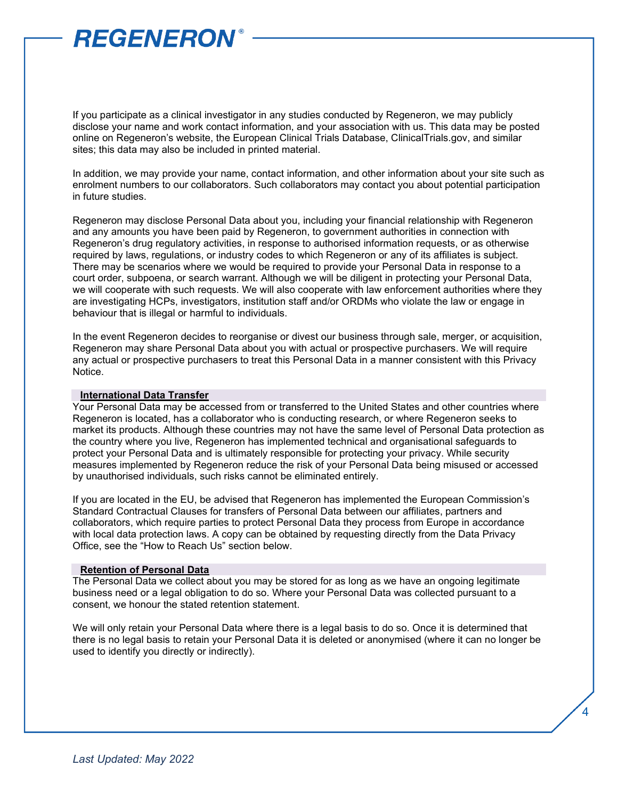If you participate as a clinical investigator in any studies conducted by Regeneron, we may publicly disclose your name and work contact information, and your association with us. This data may be posted online on Regeneron's website, the European Clinical Trials Database, ClinicalTrials.gov, and similar sites; this data may also be included in printed material.

In addition, we may provide your name, contact information, and other information about your site such as enrolment numbers to our collaborators. Such collaborators may contact you about potential participation in future studies.

Regeneron may disclose Personal Data about you, including your financial relationship with Regeneron and any amounts you have been paid by Regeneron, to government authorities in connection with Regeneron's drug regulatory activities, in response to authorised information requests, or as otherwise required by laws, regulations, or industry codes to which Regeneron or any of its affiliates is subject. There may be scenarios where we would be required to provide your Personal Data in response to a court order, subpoena, or search warrant. Although we will be diligent in protecting your Personal Data, we will cooperate with such requests. We will also cooperate with law enforcement authorities where they are investigating HCPs, investigators, institution staff and/or ORDMs who violate the law or engage in behaviour that is illegal or harmful to individuals.

In the event Regeneron decides to reorganise or divest our business through sale, merger, or acquisition, Regeneron may share Personal Data about you with actual or prospective purchasers. We will require any actual or prospective purchasers to treat this Personal Data in a manner consistent with this Privacy Notice.

#### **International Data Transfer**

Your Personal Data may be accessed from or transferred to the United States and other countries where Regeneron is located, has a collaborator who is conducting research, or where Regeneron seeks to market its products. Although these countries may not have the same level of Personal Data protection as the country where you live, Regeneron has implemented technical and organisational safeguards to protect your Personal Data and is ultimately responsible for protecting your privacy. While security measures implemented by Regeneron reduce the risk of your Personal Data being misused or accessed by unauthorised individuals, such risks cannot be eliminated entirely.

If you are located in the EU, be advised that Regeneron has implemented the European Commission's Standard Contractual Clauses for transfers of Personal Data between our affiliates, partners and collaborators, which require parties to protect Personal Data they process from Europe in accordance with local data protection laws. A copy can be obtained by requesting directly from the Data Privacy Office, see the "How to Reach Us" section below.

#### **Retention of Personal Data**

The Personal Data we collect about you may be stored for as long as we have an ongoing legitimate business need or a legal obligation to do so. Where your Personal Data was collected pursuant to a consent, we honour the stated retention statement.

We will only retain your Personal Data where there is a legal basis to do so. Once it is determined that there is no legal basis to retain your Personal Data it is deleted or anonymised (where it can no longer be used to identify you directly or indirectly).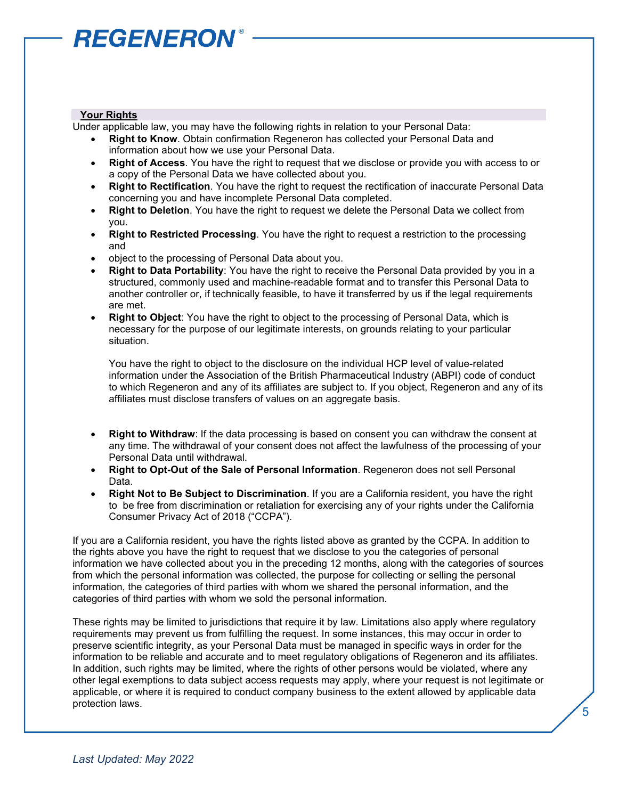#### **Your Rights**

Under applicable law, you may have the following rights in relation to your Personal Data:

- **Right to Know**. Obtain confirmation Regeneron has collected your Personal Data and information about how we use your Personal Data.
- **Right of Access**. You have the right to request that we disclose or provide you with access to or a copy of the Personal Data we have collected about you.
- **Right to Rectification**. You have the right to request the rectification of inaccurate Personal Data concerning you and have incomplete Personal Data completed.
- **Right to Deletion**. You have the right to request we delete the Personal Data we collect from you.
- **Right to Restricted Processing**. You have the right to request a restriction to the processing and
- object to the processing of Personal Data about you.
- **Right to Data Portability:** You have the right to receive the Personal Data provided by you in a structured, commonly used and machine-readable format and to transfer this Personal Data to another controller or, if technically feasible, to have it transferred by us if the legal requirements are met.
- **Right to Object**: You have the right to object to the processing of Personal Data, which is necessary for the purpose of our legitimate interests, on grounds relating to your particular situation.

You have the right to object to the disclosure on the individual HCP level of value-related information under the Association of the British Pharmaceutical Industry (ABPI) code of conduct to which Regeneron and any of its affiliates are subject to. If you object, Regeneron and any of its affiliates must disclose transfers of values on an aggregate basis.

- **Right to Withdraw**: If the data processing is based on consent you can withdraw the consent at any time. The withdrawal of your consent does not affect the lawfulness of the processing of your Personal Data until withdrawal.
- **Right to Opt-Out of the Sale of Personal Information**. Regeneron does not sell Personal Data.
- **Right Not to Be Subject to Discrimination**. If you are a California resident, you have the right to be free from discrimination or retaliation for exercising any of your rights under the California Consumer Privacy Act of 2018 ("CCPA").

If you are a California resident, you have the rights listed above as granted by the CCPA. In addition to the rights above you have the right to request that we disclose to you the categories of personal information we have collected about you in the preceding 12 months, along with the categories of sources from which the personal information was collected, the purpose for collecting or selling the personal information, the categories of third parties with whom we shared the personal information, and the categories of third parties with whom we sold the personal information.

These rights may be limited to jurisdictions that require it by law. Limitations also apply where regulatory requirements may prevent us from fulfilling the request. In some instances, this may occur in order to preserve scientific integrity, as your Personal Data must be managed in specific ways in order for the information to be reliable and accurate and to meet regulatory obligations of Regeneron and its affiliates. In addition, such rights may be limited, where the rights of other persons would be violated, where any other legal exemptions to data subject access requests may apply, where your request is not legitimate or applicable, or where it is required to conduct company business to the extent allowed by applicable data protection laws.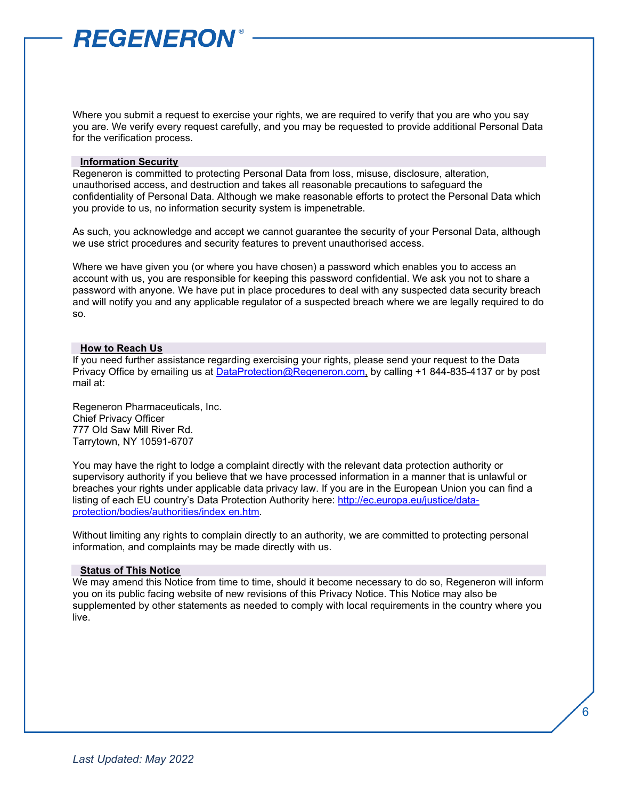Where you submit a request to exercise your rights, we are required to verify that you are who you say you are. We verify every request carefully, and you may be requested to provide additional Personal Data for the verification process.

#### **Information Security**

Regeneron is committed to protecting Personal Data from loss, misuse, disclosure, alteration, unauthorised access, and destruction and takes all reasonable precautions to safeguard the confidentiality of Personal Data. Although we make reasonable efforts to protect the Personal Data which you provide to us, no information security system is impenetrable.

As such, you acknowledge and accept we cannot guarantee the security of your Personal Data, although we use strict procedures and security features to prevent unauthorised access.

Where we have given you (or where you have chosen) a password which enables you to access an account with us, you are responsible for keeping this password confidential. We ask you not to share a password with anyone. We have put in place procedures to deal with any suspected data security breach and will notify you and any applicable regulator of a suspected breach where we are legally required to do so.

#### **How to Reach Us**

If you need further assistance regarding exercising your rights, please send your request to the Data Privacy Office by emailing us at [DataProtection@Regeneron.com,](mailto:DataProtection@Regeneron.com) by calling +1 844-835-4137 or by post mail at:

Regeneron Pharmaceuticals, Inc. Chief Privacy Officer 777 Old Saw Mill River Rd. Tarrytown, NY 10591-6707

You may have the right to lodge a complaint directly with the relevant data protection authority or supervisory authority if you believe that we have processed information in a manner that is unlawful or breaches your rights under applicable data privacy law. If you are in the European Union you can find a listing of each EU country's Data Protection Authority here: [http://ec.europa.eu/justice/data](http://ec.europa.eu/justice/data-protection/bodies/authorities/index_en.htm)[protection/bodies/authorities/index en.htm.](http://ec.europa.eu/justice/data-protection/bodies/authorities/index_en.htm) 

Without limiting any rights to complain directly to an authority, we are committed to protecting personal information, and complaints may be made directly with us.

#### **Status of This Notice**

We may amend this Notice from time to time, should it become necessary to do so, Regeneron will inform you on its public facing website of new revisions of this Privacy Notice. This Notice may also be supplemented by other statements as needed to comply with local requirements in the country where you live.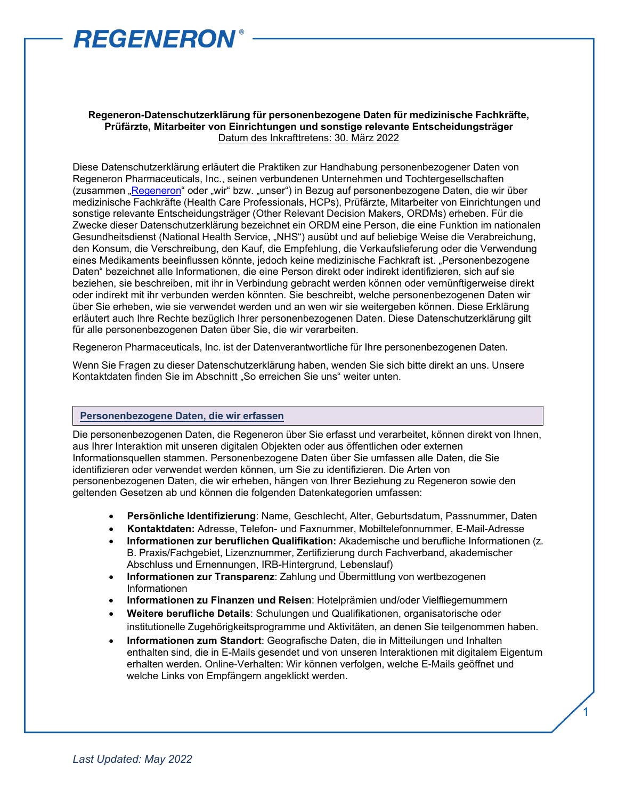

#### **Regeneron-Datenschutzerklärung für personenbezogene Daten für medizinische Fachkräfte, Prüfärzte, Mitarbeiter von Einrichtungen und sonstige relevante Entscheidungsträger** Datum des Inkrafttretens: 30. März 2022

Diese Datenschutzerklärung erläutert die Praktiken zur Handhabung personenbezogener Daten von Regeneron Pharmaceuticals, Inc., seinen verbundenen Unternehmen und Tochtergesellschaften (zusammen ["Regeneron"](https://regn.sharepoint.com/:p:/r/sites/RON/Accounting/_layouts/15/Doc.aspx?sourcedoc=%7B5B82AEC6-386E-40C8-BCA8-E9F799FA5F0F%7D&file=Regeneron%20Legal%20Entity%20Chart.pptx&action=edit&mobileredirect=true&DefaultItemOpen=1&cid=1bdd2349-b62f-40d7-9a9f-afe078f59b43&CID=BA876916-46A2-4B2D-B85F-6E9AD2333415&wdLOR=cBE755280-CC17-4EEC-85A9-E83914CEA243) oder "wir" bzw. "unser") in Bezug auf personenbezogene Daten, die wir über medizinische Fachkräfte (Health Care Professionals, HCPs), Prüfärzte, Mitarbeiter von Einrichtungen und sonstige relevante Entscheidungsträger (Other Relevant Decision Makers, ORDMs) erheben. Für die Zwecke dieser Datenschutzerklärung bezeichnet ein ORDM eine Person, die eine Funktion im nationalen Gesundheitsdienst (National Health Service, "NHS") ausübt und auf beliebige Weise die Verabreichung, den Konsum, die Verschreibung, den Kauf, die Empfehlung, die Verkaufslieferung oder die Verwendung eines Medikaments beeinflussen könnte, jedoch keine medizinische Fachkraft ist. "Personenbezogene Daten" bezeichnet alle Informationen, die eine Person direkt oder indirekt identifizieren, sich auf sie beziehen, sie beschreiben, mit ihr in Verbindung gebracht werden können oder vernünftigerweise direkt oder indirekt mit ihr verbunden werden könnten. Sie beschreibt, welche personenbezogenen Daten wir über Sie erheben, wie sie verwendet werden und an wen wir sie weitergeben können. Diese Erklärung erläutert auch Ihre Rechte bezüglich Ihrer personenbezogenen Daten. Diese Datenschutzerklärung gilt für alle personenbezogenen Daten über Sie, die wir verarbeiten.

Regeneron Pharmaceuticals, Inc. ist der Datenverantwortliche für Ihre personenbezogenen Daten.

Wenn Sie Fragen zu dieser Datenschutzerklärung haben, wenden Sie sich bitte direkt an uns. Unsere Kontaktdaten finden Sie im Abschnitt "So erreichen Sie uns" weiter unten.

#### **Personenbezogene Daten, die wir erfassen**

Die personenbezogenen Daten, die Regeneron über Sie erfasst und verarbeitet, können direkt von Ihnen, aus Ihrer Interaktion mit unseren digitalen Objekten oder aus öffentlichen oder externen Informationsquellen stammen. Personenbezogene Daten über Sie umfassen alle Daten, die Sie identifizieren oder verwendet werden können, um Sie zu identifizieren. Die Arten von personenbezogenen Daten, die wir erheben, hängen von Ihrer Beziehung zu Regeneron sowie den geltenden Gesetzen ab und können die folgenden Datenkategorien umfassen:

- **Persönliche Identifizierung**: Name, Geschlecht, Alter, Geburtsdatum, Passnummer, Daten
- **Kontaktdaten:** Adresse, Telefon- und Faxnummer, Mobiltelefonnummer, E-Mail-Adresse
- **Informationen zur beruflichen Qualifikation:** Akademische und berufliche Informationen (z. B. Praxis/Fachgebiet, Lizenznummer, Zertifizierung durch Fachverband, akademischer Abschluss und Ernennungen, IRB-Hintergrund, Lebenslauf)
- **Informationen zur Transparenz**: Zahlung und Übermittlung von wertbezogenen Informationen
- **Informationen zu Finanzen und Reisen**: Hotelprämien und/oder Vielfliegernummern
- **Weitere berufliche Details**: Schulungen und Qualifikationen, organisatorische oder institutionelle Zugehörigkeitsprogramme und Aktivitäten, an denen Sie teilgenommen haben.
- **Informationen zum Standort**: Geografische Daten, die in Mitteilungen und Inhalten enthalten sind, die in E-Mails gesendet und von unseren Interaktionen mit digitalem Eigentum erhalten werden. Online-Verhalten: Wir können verfolgen, welche E-Mails geöffnet und welche Links von Empfängern angeklickt werden.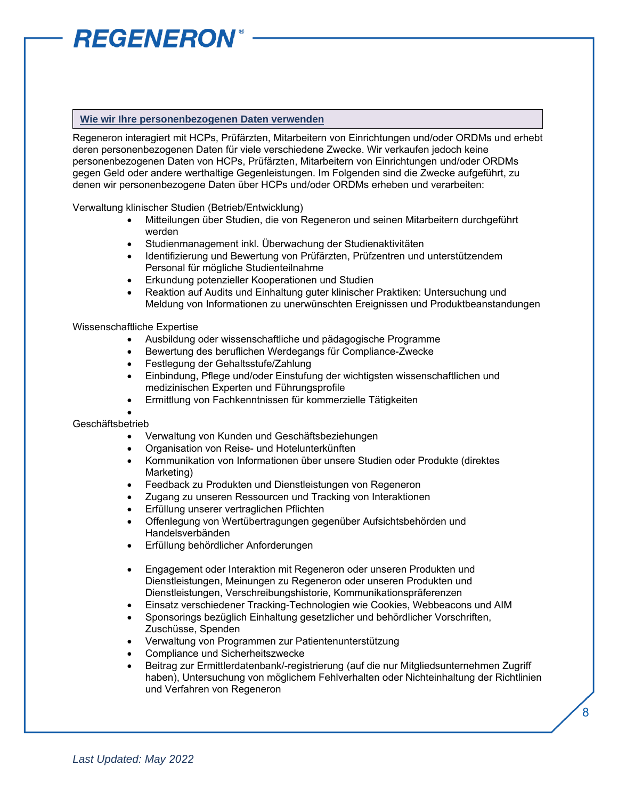#### **Wie wir Ihre personenbezogenen Daten verwenden**

Regeneron interagiert mit HCPs, Prüfärzten, Mitarbeitern von Einrichtungen und/oder ORDMs und erhebt deren personenbezogenen Daten für viele verschiedene Zwecke. Wir verkaufen jedoch keine personenbezogenen Daten von HCPs, Prüfärzten, Mitarbeitern von Einrichtungen und/oder ORDMs gegen Geld oder andere werthaltige Gegenleistungen. Im Folgenden sind die Zwecke aufgeführt, zu denen wir personenbezogene Daten über HCPs und/oder ORDMs erheben und verarbeiten:

Verwaltung klinischer Studien (Betrieb/Entwicklung)

- Mitteilungen über Studien, die von Regeneron und seinen Mitarbeitern durchgeführt werden
- Studienmanagement inkl. Überwachung der Studienaktivitäten
- Identifizierung und Bewertung von Prüfärzten, Prüfzentren und unterstützendem Personal für mögliche Studienteilnahme
- Erkundung potenzieller Kooperationen und Studien
- Reaktion auf Audits und Einhaltung guter klinischer Praktiken: Untersuchung und Meldung von Informationen zu unerwünschten Ereignissen und Produktbeanstandungen

#### Wissenschaftliche Expertise

- Ausbildung oder wissenschaftliche und pädagogische Programme
- Bewertung des beruflichen Werdegangs für Compliance-Zwecke
- Festlegung der Gehaltsstufe/Zahlung
- Einbindung, Pflege und/oder Einstufung der wichtigsten wissenschaftlichen und medizinischen Experten und Führungsprofile
- Ermittlung von Fachkenntnissen für kommerzielle Tätigkeiten

#### • Geschäftsbetrieb

- Verwaltung von Kunden und Geschäftsbeziehungen
- Organisation von Reise- und Hotelunterkünften
- Kommunikation von Informationen über unsere Studien oder Produkte (direktes Marketing)
- Feedback zu Produkten und Dienstleistungen von Regeneron
- Zugang zu unseren Ressourcen und Tracking von Interaktionen
- Erfüllung unserer vertraglichen Pflichten
- Offenlegung von Wertübertragungen gegenüber Aufsichtsbehörden und Handelsverbänden
- Erfüllung behördlicher Anforderungen
- Engagement oder Interaktion mit Regeneron oder unseren Produkten und Dienstleistungen, Meinungen zu Regeneron oder unseren Produkten und Dienstleistungen, Verschreibungshistorie, Kommunikationspräferenzen
- Einsatz verschiedener Tracking-Technologien wie Cookies, Webbeacons und AIM
- Sponsorings bezüglich Einhaltung gesetzlicher und behördlicher Vorschriften, Zuschüsse, Spenden
- Verwaltung von Programmen zur Patientenunterstützung
- Compliance und Sicherheitszwecke
- Beitrag zur Ermittlerdatenbank/-registrierung (auf die nur Mitgliedsunternehmen Zugriff haben), Untersuchung von möglichem Fehlverhalten oder Nichteinhaltung der Richtlinien und Verfahren von Regeneron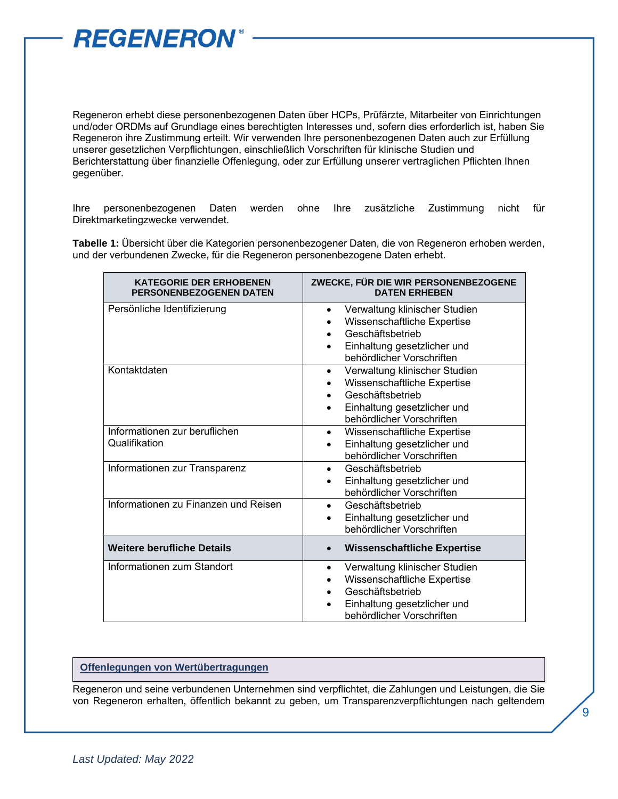

Regeneron erhebt diese personenbezogenen Daten über HCPs, Prüfärzte, Mitarbeiter von Einrichtungen und/oder ORDMs auf Grundlage eines berechtigten Interesses und, sofern dies erforderlich ist, haben Sie Regeneron ihre Zustimmung erteilt. Wir verwenden Ihre personenbezogenen Daten auch zur Erfüllung unserer gesetzlichen Verpflichtungen, einschließlich Vorschriften für klinische Studien und Berichterstattung über finanzielle Offenlegung, oder zur Erfüllung unserer vertraglichen Pflichten Ihnen gegenüber.

Ihre personenbezogenen Daten werden ohne Ihre zusätzliche Zustimmung nicht für Direktmarketingzwecke verwendet.

**Tabelle 1:** Übersicht über die Kategorien personenbezogener Daten, die von Regeneron erhoben werden, und der verbundenen Zwecke, für die Regeneron personenbezogene Daten erhebt.

| <b>KATEGORIE DER ERHOBENEN</b><br><b>PERSONENBEZOGENEN DATEN</b> | ZWECKE, FÜR DIE WIR PERSONENBEZOGENE<br><b>DATEN ERHEBEN</b>                                                                                                           |
|------------------------------------------------------------------|------------------------------------------------------------------------------------------------------------------------------------------------------------------------|
| Persönliche Identifizierung                                      | Verwaltung klinischer Studien<br>$\bullet$<br>Wissenschaftliche Expertise<br>Geschäftsbetrieb<br>Einhaltung gesetzlicher und<br>behördlicher Vorschriften              |
| Kontaktdaten                                                     | Verwaltung klinischer Studien<br>$\bullet$<br>Wissenschaftliche Expertise<br>Geschäftsbetrieb<br>Einhaltung gesetzlicher und<br>$\bullet$<br>behördlicher Vorschriften |
| Informationen zur beruflichen<br>Qualifikation                   | Wissenschaftliche Expertise<br>$\bullet$<br>Einhaltung gesetzlicher und<br>behördlicher Vorschriften                                                                   |
| Informationen zur Transparenz                                    | Geschäftsbetrieb<br>$\bullet$<br>Einhaltung gesetzlicher und<br>$\bullet$<br>behördlicher Vorschriften                                                                 |
| Informationen zu Finanzen und Reisen                             | Geschäftsbetrieb<br>$\bullet$<br>Einhaltung gesetzlicher und<br>behördlicher Vorschriften                                                                              |
| <b>Weitere berufliche Details</b>                                | <b>Wissenschaftliche Expertise</b>                                                                                                                                     |
| Informationen zum Standort                                       | Verwaltung klinischer Studien<br>Wissenschaftliche Expertise<br>Geschäftsbetrieb<br>Einhaltung gesetzlicher und<br>behördlicher Vorschriften                           |

#### **Offenlegungen von Wertübertragungen**

Regeneron und seine verbundenen Unternehmen sind verpflichtet, die Zahlungen und Leistungen, die Sie von Regeneron erhalten, öffentlich bekannt zu geben, um Transparenzverpflichtungen nach geltendem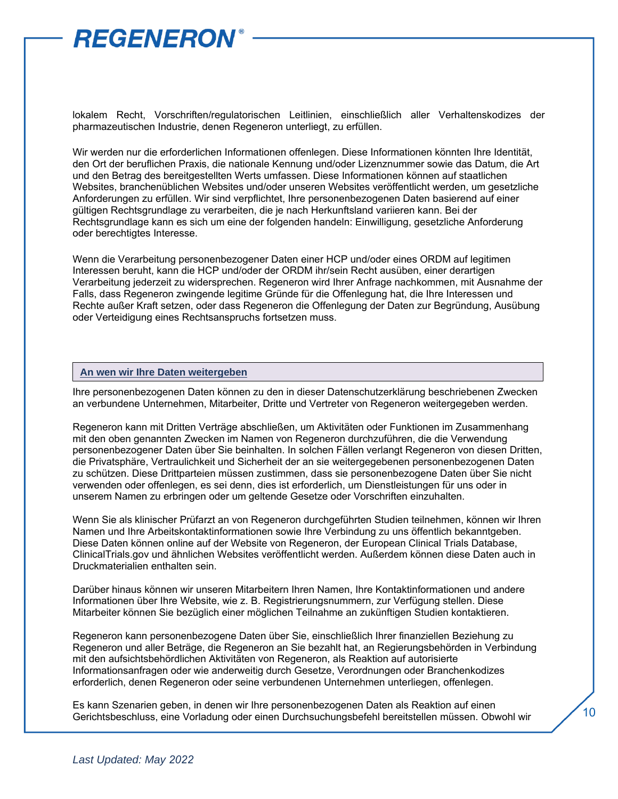

lokalem Recht, Vorschriften/regulatorischen Leitlinien, einschließlich aller Verhaltenskodizes der pharmazeutischen Industrie, denen Regeneron unterliegt, zu erfüllen.

Wir werden nur die erforderlichen Informationen offenlegen. Diese Informationen könnten Ihre Identität, den Ort der beruflichen Praxis, die nationale Kennung und/oder Lizenznummer sowie das Datum, die Art und den Betrag des bereitgestellten Werts umfassen. Diese Informationen können auf staatlichen Websites, branchenüblichen Websites und/oder unseren Websites veröffentlicht werden, um gesetzliche Anforderungen zu erfüllen. Wir sind verpflichtet, Ihre personenbezogenen Daten basierend auf einer gültigen Rechtsgrundlage zu verarbeiten, die je nach Herkunftsland variieren kann. Bei der Rechtsgrundlage kann es sich um eine der folgenden handeln: Einwilligung, gesetzliche Anforderung oder berechtigtes Interesse.

Wenn die Verarbeitung personenbezogener Daten einer HCP und/oder eines ORDM auf legitimen Interessen beruht, kann die HCP und/oder der ORDM ihr/sein Recht ausüben, einer derartigen Verarbeitung jederzeit zu widersprechen. Regeneron wird Ihrer Anfrage nachkommen, mit Ausnahme der Falls, dass Regeneron zwingende legitime Gründe für die Offenlegung hat, die Ihre Interessen und Rechte außer Kraft setzen, oder dass Regeneron die Offenlegung der Daten zur Begründung, Ausübung oder Verteidigung eines Rechtsanspruchs fortsetzen muss.

#### **An wen wir Ihre Daten weitergeben**

Ihre personenbezogenen Daten können zu den in dieser Datenschutzerklärung beschriebenen Zwecken an verbundene Unternehmen, Mitarbeiter, Dritte und Vertreter von Regeneron weitergegeben werden.

Regeneron kann mit Dritten Verträge abschließen, um Aktivitäten oder Funktionen im Zusammenhang mit den oben genannten Zwecken im Namen von Regeneron durchzuführen, die die Verwendung personenbezogener Daten über Sie beinhalten. In solchen Fällen verlangt Regeneron von diesen Dritten, die Privatsphäre, Vertraulichkeit und Sicherheit der an sie weitergegebenen personenbezogenen Daten zu schützen. Diese Drittparteien müssen zustimmen, dass sie personenbezogene Daten über Sie nicht verwenden oder offenlegen, es sei denn, dies ist erforderlich, um Dienstleistungen für uns oder in unserem Namen zu erbringen oder um geltende Gesetze oder Vorschriften einzuhalten.

Wenn Sie als klinischer Prüfarzt an von Regeneron durchgeführten Studien teilnehmen, können wir Ihren Namen und Ihre Arbeitskontaktinformationen sowie Ihre Verbindung zu uns öffentlich bekanntgeben. Diese Daten können online auf der Website von Regeneron, der European Clinical Trials Database, ClinicalTrials.gov und ähnlichen Websites veröffentlicht werden. Außerdem können diese Daten auch in Druckmaterialien enthalten sein.

Darüber hinaus können wir unseren Mitarbeitern Ihren Namen, Ihre Kontaktinformationen und andere Informationen über Ihre Website, wie z. B. Registrierungsnummern, zur Verfügung stellen. Diese Mitarbeiter können Sie bezüglich einer möglichen Teilnahme an zukünftigen Studien kontaktieren.

Regeneron kann personenbezogene Daten über Sie, einschließlich Ihrer finanziellen Beziehung zu Regeneron und aller Beträge, die Regeneron an Sie bezahlt hat, an Regierungsbehörden in Verbindung mit den aufsichtsbehördlichen Aktivitäten von Regeneron, als Reaktion auf autorisierte Informationsanfragen oder wie anderweitig durch Gesetze, Verordnungen oder Branchenkodizes erforderlich, denen Regeneron oder seine verbundenen Unternehmen unterliegen, offenlegen.

Es kann Szenarien geben, in denen wir Ihre personenbezogenen Daten als Reaktion auf einen Gerichtsbeschluss, eine Vorladung oder einen Durchsuchungsbefehl bereitstellen müssen. Obwohl wir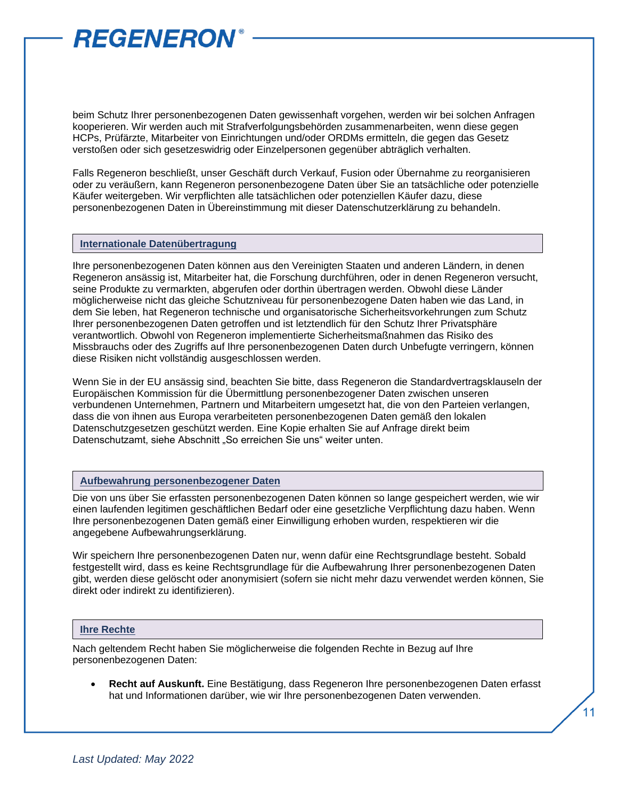beim Schutz Ihrer personenbezogenen Daten gewissenhaft vorgehen, werden wir bei solchen Anfragen kooperieren. Wir werden auch mit Strafverfolgungsbehörden zusammenarbeiten, wenn diese gegen HCPs, Prüfärzte, Mitarbeiter von Einrichtungen und/oder ORDMs ermitteln, die gegen das Gesetz verstoßen oder sich gesetzeswidrig oder Einzelpersonen gegenüber abträglich verhalten.

Falls Regeneron beschließt, unser Geschäft durch Verkauf, Fusion oder Übernahme zu reorganisieren oder zu veräußern, kann Regeneron personenbezogene Daten über Sie an tatsächliche oder potenzielle Käufer weitergeben. Wir verpflichten alle tatsächlichen oder potenziellen Käufer dazu, diese personenbezogenen Daten in Übereinstimmung mit dieser Datenschutzerklärung zu behandeln.

#### **Internationale Datenübertragung**

Ihre personenbezogenen Daten können aus den Vereinigten Staaten und anderen Ländern, in denen Regeneron ansässig ist, Mitarbeiter hat, die Forschung durchführen, oder in denen Regeneron versucht, seine Produkte zu vermarkten, abgerufen oder dorthin übertragen werden. Obwohl diese Länder möglicherweise nicht das gleiche Schutzniveau für personenbezogene Daten haben wie das Land, in dem Sie leben, hat Regeneron technische und organisatorische Sicherheitsvorkehrungen zum Schutz Ihrer personenbezogenen Daten getroffen und ist letztendlich für den Schutz Ihrer Privatsphäre verantwortlich. Obwohl von Regeneron implementierte Sicherheitsmaßnahmen das Risiko des Missbrauchs oder des Zugriffs auf Ihre personenbezogenen Daten durch Unbefugte verringern, können diese Risiken nicht vollständig ausgeschlossen werden.

Wenn Sie in der EU ansässig sind, beachten Sie bitte, dass Regeneron die Standardvertragsklauseln der Europäischen Kommission für die Übermittlung personenbezogener Daten zwischen unseren verbundenen Unternehmen, Partnern und Mitarbeitern umgesetzt hat, die von den Parteien verlangen, dass die von ihnen aus Europa verarbeiteten personenbezogenen Daten gemäß den lokalen Datenschutzgesetzen geschützt werden. Eine Kopie erhalten Sie auf Anfrage direkt beim Datenschutzamt, siehe Abschnitt "So erreichen Sie uns" weiter unten.

#### **Aufbewahrung personenbezogener Daten**

Die von uns über Sie erfassten personenbezogenen Daten können so lange gespeichert werden, wie wir einen laufenden legitimen geschäftlichen Bedarf oder eine gesetzliche Verpflichtung dazu haben. Wenn Ihre personenbezogenen Daten gemäß einer Einwilligung erhoben wurden, respektieren wir die angegebene Aufbewahrungserklärung.

Wir speichern Ihre personenbezogenen Daten nur, wenn dafür eine Rechtsgrundlage besteht. Sobald festgestellt wird, dass es keine Rechtsgrundlage für die Aufbewahrung Ihrer personenbezogenen Daten gibt, werden diese gelöscht oder anonymisiert (sofern sie nicht mehr dazu verwendet werden können, Sie direkt oder indirekt zu identifizieren).

#### **Ihre Rechte**

Nach geltendem Recht haben Sie möglicherweise die folgenden Rechte in Bezug auf Ihre personenbezogenen Daten:

• **Recht auf Auskunft.** Eine Bestätigung, dass Regeneron Ihre personenbezogenen Daten erfasst hat und Informationen darüber, wie wir Ihre personenbezogenen Daten verwenden.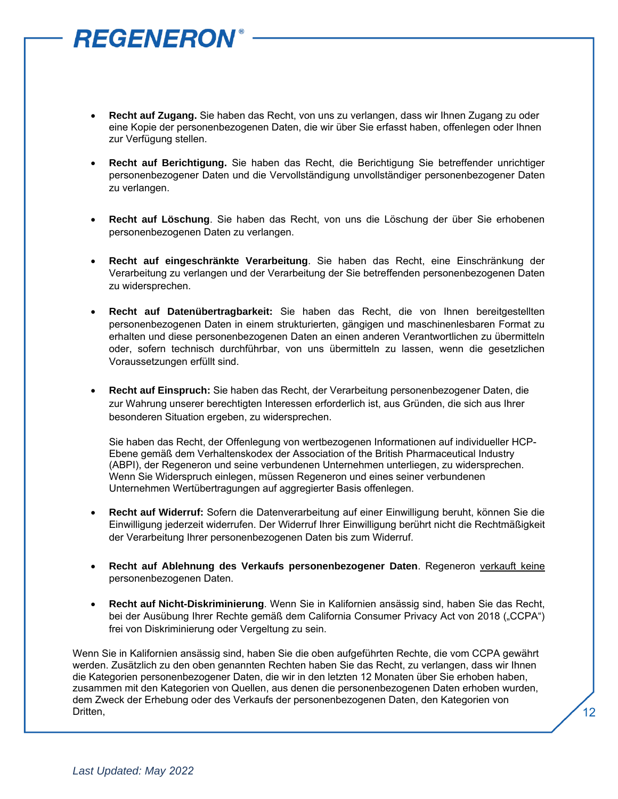- **Recht auf Zugang.** Sie haben das Recht, von uns zu verlangen, dass wir Ihnen Zugang zu oder eine Kopie der personenbezogenen Daten, die wir über Sie erfasst haben, offenlegen oder Ihnen zur Verfügung stellen.
- **Recht auf Berichtigung.** Sie haben das Recht, die Berichtigung Sie betreffender unrichtiger personenbezogener Daten und die Vervollständigung unvollständiger personenbezogener Daten zu verlangen.
- **Recht auf Löschung**. Sie haben das Recht, von uns die Löschung der über Sie erhobenen personenbezogenen Daten zu verlangen.
- **Recht auf eingeschränkte Verarbeitung**. Sie haben das Recht, eine Einschränkung der Verarbeitung zu verlangen und der Verarbeitung der Sie betreffenden personenbezogenen Daten zu widersprechen.
- **Recht auf Datenübertragbarkeit:** Sie haben das Recht, die von Ihnen bereitgestellten personenbezogenen Daten in einem strukturierten, gängigen und maschinenlesbaren Format zu erhalten und diese personenbezogenen Daten an einen anderen Verantwortlichen zu übermitteln oder, sofern technisch durchführbar, von uns übermitteln zu lassen, wenn die gesetzlichen Voraussetzungen erfüllt sind.
- **Recht auf Einspruch:** Sie haben das Recht, der Verarbeitung personenbezogener Daten, die zur Wahrung unserer berechtigten Interessen erforderlich ist, aus Gründen, die sich aus Ihrer besonderen Situation ergeben, zu widersprechen.

Sie haben das Recht, der Offenlegung von wertbezogenen Informationen auf individueller HCP-Ebene gemäß dem Verhaltenskodex der Association of the British Pharmaceutical Industry (ABPI), der Regeneron und seine verbundenen Unternehmen unterliegen, zu widersprechen. Wenn Sie Widerspruch einlegen, müssen Regeneron und eines seiner verbundenen Unternehmen Wertübertragungen auf aggregierter Basis offenlegen.

- **Recht auf Widerruf:** Sofern die Datenverarbeitung auf einer Einwilligung beruht, können Sie die Einwilligung jederzeit widerrufen. Der Widerruf Ihrer Einwilligung berührt nicht die Rechtmäßigkeit der Verarbeitung Ihrer personenbezogenen Daten bis zum Widerruf.
- **Recht auf Ablehnung des Verkaufs personenbezogener Daten**. Regeneron verkauft keine personenbezogenen Daten.
- **Recht auf Nicht-Diskriminierung**. Wenn Sie in Kalifornien ansässig sind, haben Sie das Recht, bei der Ausübung Ihrer Rechte gemäß dem California Consumer Privacy Act von 2018 ("CCPA") frei von Diskriminierung oder Vergeltung zu sein.

Wenn Sie in Kalifornien ansässig sind, haben Sie die oben aufgeführten Rechte, die vom CCPA gewährt werden. Zusätzlich zu den oben genannten Rechten haben Sie das Recht, zu verlangen, dass wir Ihnen die Kategorien personenbezogener Daten, die wir in den letzten 12 Monaten über Sie erhoben haben, zusammen mit den Kategorien von Quellen, aus denen die personenbezogenen Daten erhoben wurden, dem Zweck der Erhebung oder des Verkaufs der personenbezogenen Daten, den Kategorien von Dritten,

12

**REGENERON**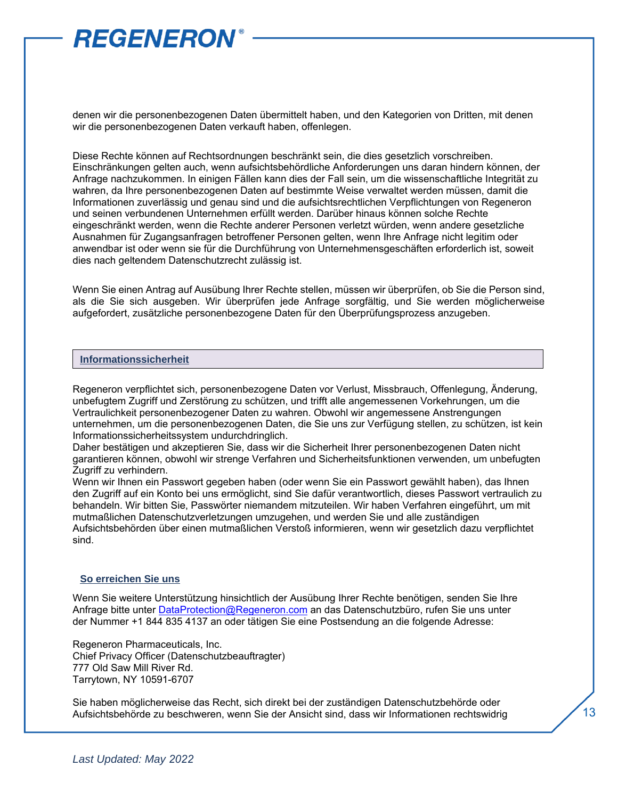

denen wir die personenbezogenen Daten übermittelt haben, und den Kategorien von Dritten, mit denen wir die personenbezogenen Daten verkauft haben, offenlegen.

Diese Rechte können auf Rechtsordnungen beschränkt sein, die dies gesetzlich vorschreiben. Einschränkungen gelten auch, wenn aufsichtsbehördliche Anforderungen uns daran hindern können, der Anfrage nachzukommen. In einigen Fällen kann dies der Fall sein, um die wissenschaftliche Integrität zu wahren, da Ihre personenbezogenen Daten auf bestimmte Weise verwaltet werden müssen, damit die Informationen zuverlässig und genau sind und die aufsichtsrechtlichen Verpflichtungen von Regeneron und seinen verbundenen Unternehmen erfüllt werden. Darüber hinaus können solche Rechte eingeschränkt werden, wenn die Rechte anderer Personen verletzt würden, wenn andere gesetzliche Ausnahmen für Zugangsanfragen betroffener Personen gelten, wenn Ihre Anfrage nicht legitim oder anwendbar ist oder wenn sie für die Durchführung von Unternehmensgeschäften erforderlich ist, soweit dies nach geltendem Datenschutzrecht zulässig ist.

Wenn Sie einen Antrag auf Ausübung Ihrer Rechte stellen, müssen wir überprüfen, ob Sie die Person sind, als die Sie sich ausgeben. Wir überprüfen jede Anfrage sorgfältig, und Sie werden möglicherweise aufgefordert, zusätzliche personenbezogene Daten für den Überprüfungsprozess anzugeben.

#### **Informationssicherheit**

Regeneron verpflichtet sich, personenbezogene Daten vor Verlust, Missbrauch, Offenlegung, Änderung, unbefugtem Zugriff und Zerstörung zu schützen, und trifft alle angemessenen Vorkehrungen, um die Vertraulichkeit personenbezogener Daten zu wahren. Obwohl wir angemessene Anstrengungen unternehmen, um die personenbezogenen Daten, die Sie uns zur Verfügung stellen, zu schützen, ist kein Informationssicherheitssystem undurchdringlich.

Daher bestätigen und akzeptieren Sie, dass wir die Sicherheit Ihrer personenbezogenen Daten nicht garantieren können, obwohl wir strenge Verfahren und Sicherheitsfunktionen verwenden, um unbefugten Zugriff zu verhindern.

Wenn wir Ihnen ein Passwort gegeben haben (oder wenn Sie ein Passwort gewählt haben), das Ihnen den Zugriff auf ein Konto bei uns ermöglicht, sind Sie dafür verantwortlich, dieses Passwort vertraulich zu behandeln. Wir bitten Sie, Passwörter niemandem mitzuteilen. Wir haben Verfahren eingeführt, um mit mutmaßlichen Datenschutzverletzungen umzugehen, und werden Sie und alle zuständigen Aufsichtsbehörden über einen mutmaßlichen Verstoß informieren, wenn wir gesetzlich dazu verpflichtet sind.

#### **So erreichen Sie uns**

Wenn Sie weitere Unterstützung hinsichtlich der Ausübung Ihrer Rechte benötigen, senden Sie Ihre Anfrage bitte unte[r DataProtection@Regeneron.com](mailto:DataProtection@Regeneron.com) an das Datenschutzbüro, rufen Sie uns unter der Nummer +1 844 835 4137 an oder tätigen Sie eine Postsendung an die folgende Adresse:

Regeneron Pharmaceuticals, Inc. Chief Privacy Officer (Datenschutzbeauftragter) 777 Old Saw Mill River Rd. Tarrytown, NY 10591-6707

Sie haben möglicherweise das Recht, sich direkt bei der zuständigen Datenschutzbehörde oder Aufsichtsbehörde zu beschweren, wenn Sie der Ansicht sind, dass wir Informationen rechtswidrig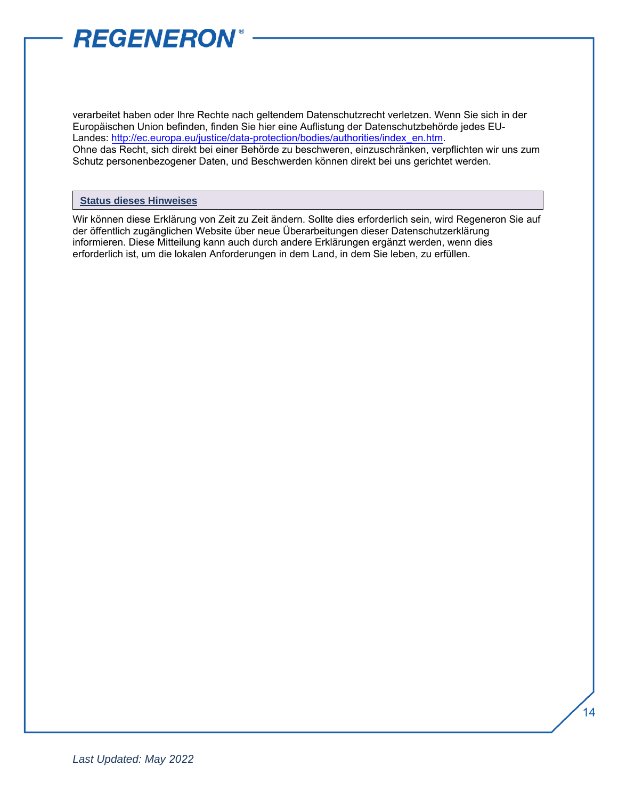

verarbeitet haben oder Ihre Rechte nach geltendem Datenschutzrecht verletzen. Wenn Sie sich in der Europäischen Union befinden, finden Sie hier eine Auflistung der Datenschutzbehörde jedes EU-[Landes: http://ec.europa.eu/justice/data-protection/bodies/authorities/index](http://ec.europa.eu/justice/data-protection/bodies/authorities/index_en.htm)\_en.htm. Ohne das Recht, sich direkt bei einer Behörde zu beschweren, einzuschränken, verpflichten wir uns zum Schutz personenbezogener Daten, und Beschwerden können direkt bei uns gerichtet werden.

#### **Status dieses Hinweises**

Wir können diese Erklärung von Zeit zu Zeit ändern. Sollte dies erforderlich sein, wird Regeneron Sie auf der öffentlich zugänglichen Website über neue Überarbeitungen dieser Datenschutzerklärung informieren. Diese Mitteilung kann auch durch andere Erklärungen ergänzt werden, wenn dies erforderlich ist, um die lokalen Anforderungen in dem Land, in dem Sie leben, zu erfüllen.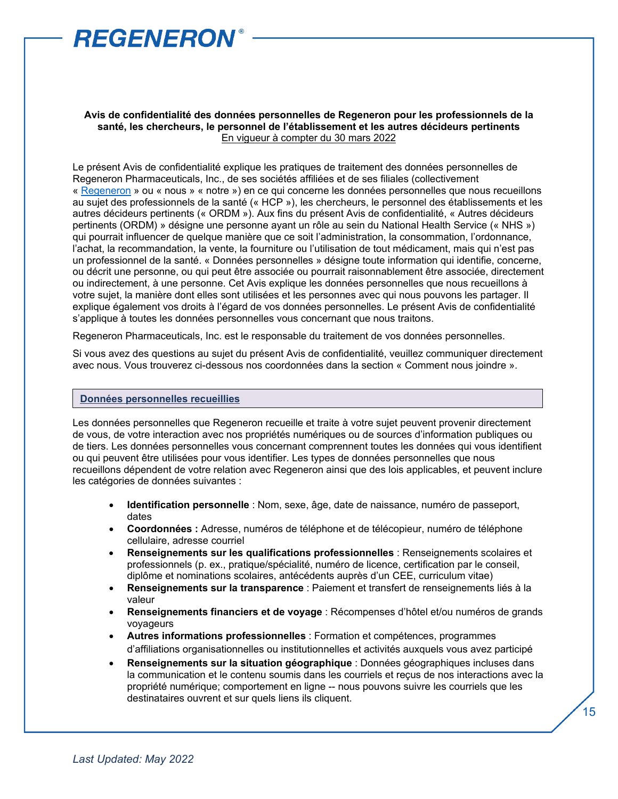

#### **Avis de confidentialité des données personnelles de Regeneron pour les professionnels de la santé, les chercheurs, le personnel de l'établissement et les autres décideurs pertinents** En vigueur à compter du 30 mars 2022

Le présent Avis de confidentialité explique les pratiques de traitement des données personnelles de Regeneron Pharmaceuticals, Inc., de ses sociétés affiliées et de ses filiales (collectivement « [Regeneron](https://regn.sharepoint.com/:p:/r/sites/RON/Accounting/_layouts/15/Doc.aspx?sourcedoc=%7B5B82AEC6-386E-40C8-BCA8-E9F799FA5F0F%7D&file=Regeneron%20Legal%20Entity%20Chart.pptx&action=edit&mobileredirect=true&DefaultItemOpen=1&cid=1bdd2349-b62f-40d7-9a9f-afe078f59b43&CID=BA876916-46A2-4B2D-B85F-6E9AD2333415&wdLOR=cBE755280-CC17-4EEC-85A9-E83914CEA243) » ou « nous » « notre ») en ce qui concerne les données personnelles que nous recueillons au sujet des professionnels de la santé (« HCP »), les chercheurs, le personnel des établissements et les autres décideurs pertinents (« ORDM »). Aux fins du présent Avis de confidentialité, « Autres décideurs pertinents (ORDM) » désigne une personne ayant un rôle au sein du National Health Service (« NHS ») qui pourrait influencer de quelque manière que ce soit l'administration, la consommation, l'ordonnance, l'achat, la recommandation, la vente, la fourniture ou l'utilisation de tout médicament, mais qui n'est pas un professionnel de la santé. « Données personnelles » désigne toute information qui identifie, concerne, ou décrit une personne, ou qui peut être associée ou pourrait raisonnablement être associée, directement ou indirectement, à une personne. Cet Avis explique les données personnelles que nous recueillons à votre sujet, la manière dont elles sont utilisées et les personnes avec qui nous pouvons les partager. Il explique également vos droits à l'égard de vos données personnelles. Le présent Avis de confidentialité s'applique à toutes les données personnelles vous concernant que nous traitons.

Regeneron Pharmaceuticals, Inc. est le responsable du traitement de vos données personnelles.

Si vous avez des questions au sujet du présent Avis de confidentialité, veuillez communiquer directement avec nous. Vous trouverez ci-dessous nos coordonnées dans la section « Comment nous joindre ».

#### **Données personnelles recueillies**

Les données personnelles que Regeneron recueille et traite à votre suiet peuvent provenir directement de vous, de votre interaction avec nos propriétés numériques ou de sources d'information publiques ou de tiers. Les données personnelles vous concernant comprennent toutes les données qui vous identifient ou qui peuvent être utilisées pour vous identifier. Les types de données personnelles que nous recueillons dépendent de votre relation avec Regeneron ainsi que des lois applicables, et peuvent inclure les catégories de données suivantes :

- **Identification personnelle** : Nom, sexe, âge, date de naissance, numéro de passeport, dates
- **Coordonnées :** Adresse, numéros de téléphone et de télécopieur, numéro de téléphone cellulaire, adresse courriel
- **Renseignements sur les qualifications professionnelles** : Renseignements scolaires et professionnels (p. ex., pratique/spécialité, numéro de licence, certification par le conseil, diplôme et nominations scolaires, antécédents auprès d'un CEE, curriculum vitae)
- **Renseignements sur la transparence** : Paiement et transfert de renseignements liés à la valeur
- **Renseignements financiers et de voyage** : Récompenses d'hôtel et/ou numéros de grands voyageurs
- **Autres informations professionnelles** : Formation et compétences, programmes d'affiliations organisationnelles ou institutionnelles et activités auxquels vous avez participé
- **Renseignements sur la situation géographique** : Données géographiques incluses dans la communication et le contenu soumis dans les courriels et reçus de nos interactions avec la propriété numérique; comportement en ligne -- nous pouvons suivre les courriels que les destinataires ouvrent et sur quels liens ils cliquent.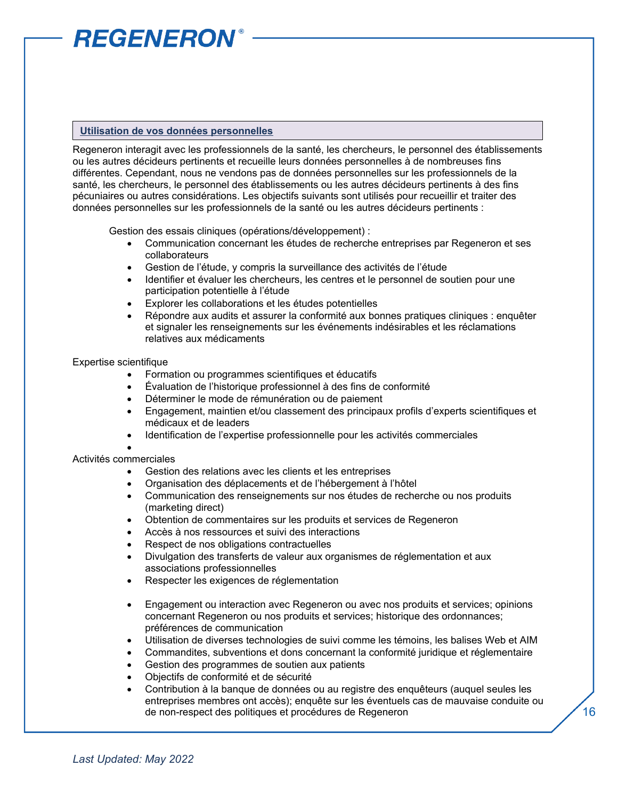#### **Utilisation de vos données personnelles**

Regeneron interagit avec les professionnels de la santé, les chercheurs, le personnel des établissements ou les autres décideurs pertinents et recueille leurs données personnelles à de nombreuses fins différentes. Cependant, nous ne vendons pas de données personnelles sur les professionnels de la santé, les chercheurs, le personnel des établissements ou les autres décideurs pertinents à des fins pécuniaires ou autres considérations. Les objectifs suivants sont utilisés pour recueillir et traiter des données personnelles sur les professionnels de la santé ou les autres décideurs pertinents :

Gestion des essais cliniques (opérations/développement) :

- Communication concernant les études de recherche entreprises par Regeneron et ses collaborateurs
- Gestion de l'étude, y compris la surveillance des activités de l'étude
- Identifier et évaluer les chercheurs, les centres et le personnel de soutien pour une participation potentielle à l'étude
- Explorer les collaborations et les études potentielles
- Répondre aux audits et assurer la conformité aux bonnes pratiques cliniques : enquêter et signaler les renseignements sur les événements indésirables et les réclamations relatives aux médicaments

#### Expertise scientifique

- Formation ou programmes scientifiques et éducatifs
- Évaluation de l'historique professionnel à des fins de conformité
- Déterminer le mode de rémunération ou de paiement
- Engagement, maintien et/ou classement des principaux profils d'experts scientifiques et médicaux et de leaders
- Identification de l'expertise professionnelle pour les activités commerciales

#### • Activités commerciales

- Gestion des relations avec les clients et les entreprises
- Organisation des déplacements et de l'hébergement à l'hôtel
- Communication des renseignements sur nos études de recherche ou nos produits (marketing direct)
- Obtention de commentaires sur les produits et services de Regeneron
- Accès à nos ressources et suivi des interactions
- Respect de nos obligations contractuelles
- Divulgation des transferts de valeur aux organismes de réglementation et aux associations professionnelles
- Respecter les exigences de réglementation
- Engagement ou interaction avec Regeneron ou avec nos produits et services; opinions concernant Regeneron ou nos produits et services; historique des ordonnances; préférences de communication
- Utilisation de diverses technologies de suivi comme les témoins, les balises Web et AIM
- Commandites, subventions et dons concernant la conformité juridique et réglementaire
- Gestion des programmes de soutien aux patients
- Objectifs de conformité et de sécurité
- Contribution à la banque de données ou au registre des enquêteurs (auquel seules les entreprises membres ont accès); enquête sur les éventuels cas de mauvaise conduite ou de non-respect des politiques et procédures de Regeneron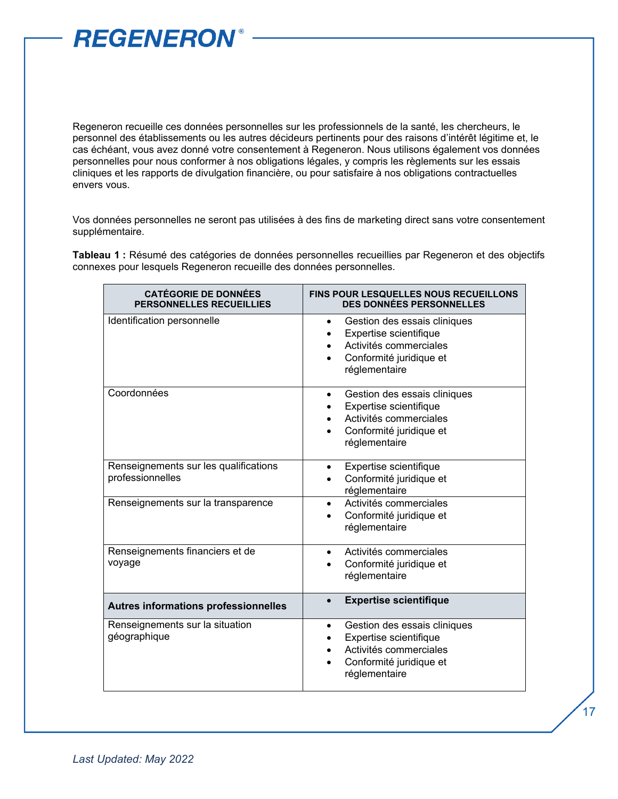

Regeneron recueille ces données personnelles sur les professionnels de la santé, les chercheurs, le personnel des établissements ou les autres décideurs pertinents pour des raisons d'intérêt légitime et, le cas échéant, vous avez donné votre consentement à Regeneron. Nous utilisons également vos données personnelles pour nous conformer à nos obligations légales, y compris les règlements sur les essais cliniques et les rapports de divulgation financière, ou pour satisfaire à nos obligations contractuelles envers vous.

Vos données personnelles ne seront pas utilisées à des fins de marketing direct sans votre consentement supplémentaire.

**Tableau 1 :** Résumé des catégories de données personnelles recueillies par Regeneron et des objectifs connexes pour lesquels Regeneron recueille des données personnelles.

| <b>CATÉGORIE DE DONNÉES</b><br>PERSONNELLES RECUEILLIES   | <b>FINS POUR LESQUELLES NOUS RECUEILLONS</b><br><b>DES DONNÉES PERSONNELLES</b>                                                           |
|-----------------------------------------------------------|-------------------------------------------------------------------------------------------------------------------------------------------|
| Identification personnelle                                | Gestion des essais cliniques<br>$\bullet$<br>Expertise scientifique<br>Activités commerciales<br>Conformité juridique et<br>réglementaire |
| Coordonnées                                               | Gestion des essais cliniques<br>Expertise scientifique<br>Activités commerciales<br>Conformité juridique et<br>réglementaire              |
| Renseignements sur les qualifications<br>professionnelles | Expertise scientifique<br>Conformité juridique et<br>réglementaire                                                                        |
| Renseignements sur la transparence                        | Activités commerciales<br>Conformité juridique et<br>réglementaire                                                                        |
| Renseignements financiers et de<br>voyage                 | Activités commerciales<br>$\bullet$<br>Conformité juridique et<br>réglementaire                                                           |
| Autres informations professionnelles                      | <b>Expertise scientifique</b>                                                                                                             |
| Renseignements sur la situation<br>géographique           | Gestion des essais cliniques<br>$\bullet$<br>Expertise scientifique<br>Activités commerciales<br>Conformité juridique et<br>réglementaire |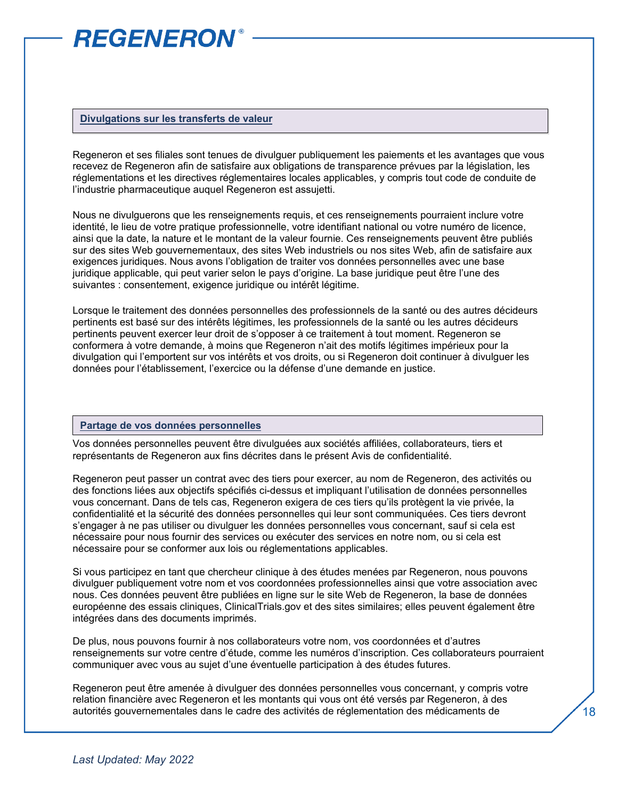#### **Divulgations sur les transferts de valeur**

Regeneron et ses filiales sont tenues de divulguer publiquement les paiements et les avantages que vous recevez de Regeneron afin de satisfaire aux obligations de transparence prévues par la législation, les réglementations et les directives réglementaires locales applicables, y compris tout code de conduite de l'industrie pharmaceutique auquel Regeneron est assujetti.

Nous ne divulguerons que les renseignements requis, et ces renseignements pourraient inclure votre identité, le lieu de votre pratique professionnelle, votre identifiant national ou votre numéro de licence, ainsi que la date, la nature et le montant de la valeur fournie. Ces renseignements peuvent être publiés sur des sites Web gouvernementaux, des sites Web industriels ou nos sites Web, afin de satisfaire aux exigences juridiques. Nous avons l'obligation de traiter vos données personnelles avec une base juridique applicable, qui peut varier selon le pays d'origine. La base juridique peut être l'une des suivantes : consentement, exigence juridique ou intérêt légitime.

Lorsque le traitement des données personnelles des professionnels de la santé ou des autres décideurs pertinents est basé sur des intérêts légitimes, les professionnels de la santé ou les autres décideurs pertinents peuvent exercer leur droit de s'opposer à ce traitement à tout moment. Regeneron se conformera à votre demande, à moins que Regeneron n'ait des motifs légitimes impérieux pour la divulgation qui l'emportent sur vos intérêts et vos droits, ou si Regeneron doit continuer à divulguer les données pour l'établissement, l'exercice ou la défense d'une demande en justice.

#### **Partage de vos données personnelles**

Vos données personnelles peuvent être divulguées aux sociétés affiliées, collaborateurs, tiers et représentants de Regeneron aux fins décrites dans le présent Avis de confidentialité.

Regeneron peut passer un contrat avec des tiers pour exercer, au nom de Regeneron, des activités ou des fonctions liées aux objectifs spécifiés ci-dessus et impliquant l'utilisation de données personnelles vous concernant. Dans de tels cas, Regeneron exigera de ces tiers qu'ils protègent la vie privée, la confidentialité et la sécurité des données personnelles qui leur sont communiquées. Ces tiers devront s'engager à ne pas utiliser ou divulguer les données personnelles vous concernant, sauf si cela est nécessaire pour nous fournir des services ou exécuter des services en notre nom, ou si cela est nécessaire pour se conformer aux lois ou réglementations applicables.

Si vous participez en tant que chercheur clinique à des études menées par Regeneron, nous pouvons divulguer publiquement votre nom et vos coordonnées professionnelles ainsi que votre association avec nous. Ces données peuvent être publiées en ligne sur le site Web de Regeneron, la base de données européenne des essais cliniques, ClinicalTrials.gov et des sites similaires; elles peuvent également être intégrées dans des documents imprimés.

De plus, nous pouvons fournir à nos collaborateurs votre nom, vos coordonnées et d'autres renseignements sur votre centre d'étude, comme les numéros d'inscription. Ces collaborateurs pourraient communiquer avec vous au sujet d'une éventuelle participation à des études futures.

Regeneron peut être amenée à divulguer des données personnelles vous concernant, y compris votre relation financière avec Regeneron et les montants qui vous ont été versés par Regeneron, à des autorités gouvernementales dans le cadre des activités de réglementation des médicaments de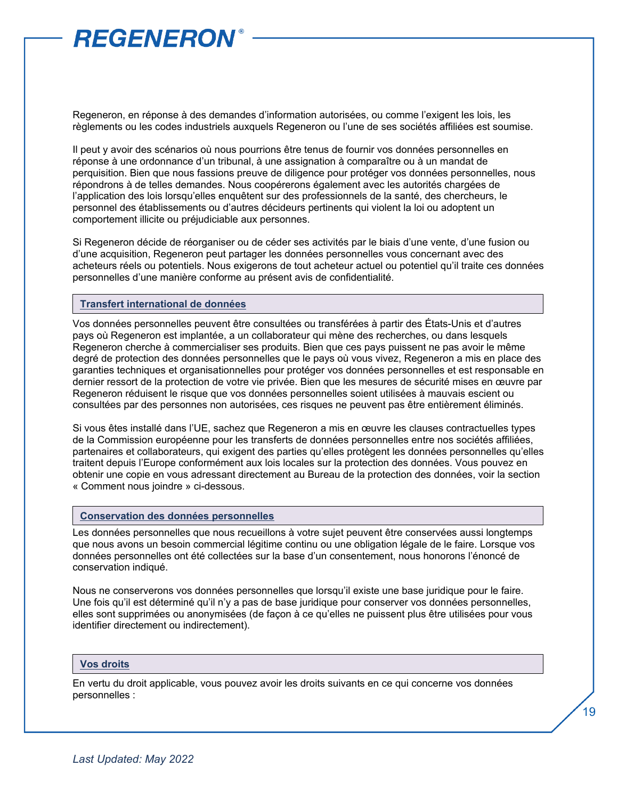Regeneron, en réponse à des demandes d'information autorisées, ou comme l'exigent les lois, les règlements ou les codes industriels auxquels Regeneron ou l'une de ses sociétés affiliées est soumise.

Il peut y avoir des scénarios où nous pourrions être tenus de fournir vos données personnelles en réponse à une ordonnance d'un tribunal, à une assignation à comparaître ou à un mandat de perquisition. Bien que nous fassions preuve de diligence pour protéger vos données personnelles, nous répondrons à de telles demandes. Nous coopérerons également avec les autorités chargées de l'application des lois lorsqu'elles enquêtent sur des professionnels de la santé, des chercheurs, le personnel des établissements ou d'autres décideurs pertinents qui violent la loi ou adoptent un comportement illicite ou préjudiciable aux personnes.

Si Regeneron décide de réorganiser ou de céder ses activités par le biais d'une vente, d'une fusion ou d'une acquisition, Regeneron peut partager les données personnelles vous concernant avec des acheteurs réels ou potentiels. Nous exigerons de tout acheteur actuel ou potentiel qu'il traite ces données personnelles d'une manière conforme au présent avis de confidentialité.

#### **Transfert international de données**

Vos données personnelles peuvent être consultées ou transférées à partir des États-Unis et d'autres pays où Regeneron est implantée, a un collaborateur qui mène des recherches, ou dans lesquels Regeneron cherche à commercialiser ses produits. Bien que ces pays puissent ne pas avoir le même degré de protection des données personnelles que le pays où vous vivez, Regeneron a mis en place des garanties techniques et organisationnelles pour protéger vos données personnelles et est responsable en dernier ressort de la protection de votre vie privée. Bien que les mesures de sécurité mises en œuvre par Regeneron réduisent le risque que vos données personnelles soient utilisées à mauvais escient ou consultées par des personnes non autorisées, ces risques ne peuvent pas être entièrement éliminés.

Si vous êtes installé dans l'UE, sachez que Regeneron a mis en œuvre les clauses contractuelles types de la Commission européenne pour les transferts de données personnelles entre nos sociétés affiliées, partenaires et collaborateurs, qui exigent des parties qu'elles protègent les données personnelles qu'elles traitent depuis l'Europe conformément aux lois locales sur la protection des données. Vous pouvez en obtenir une copie en vous adressant directement au Bureau de la protection des données, voir la section « Comment nous joindre » ci-dessous.

#### **Conservation des données personnelles**

Les données personnelles que nous recueillons à votre sujet peuvent être conservées aussi longtemps que nous avons un besoin commercial légitime continu ou une obligation légale de le faire. Lorsque vos données personnelles ont été collectées sur la base d'un consentement, nous honorons l'énoncé de conservation indiqué.

Nous ne conserverons vos données personnelles que lorsqu'il existe une base juridique pour le faire. Une fois qu'il est déterminé qu'il n'y a pas de base juridique pour conserver vos données personnelles, elles sont supprimées ou anonymisées (de façon à ce qu'elles ne puissent plus être utilisées pour vous identifier directement ou indirectement).

#### **Vos droits**

En vertu du droit applicable, vous pouvez avoir les droits suivants en ce qui concerne vos données personnelles :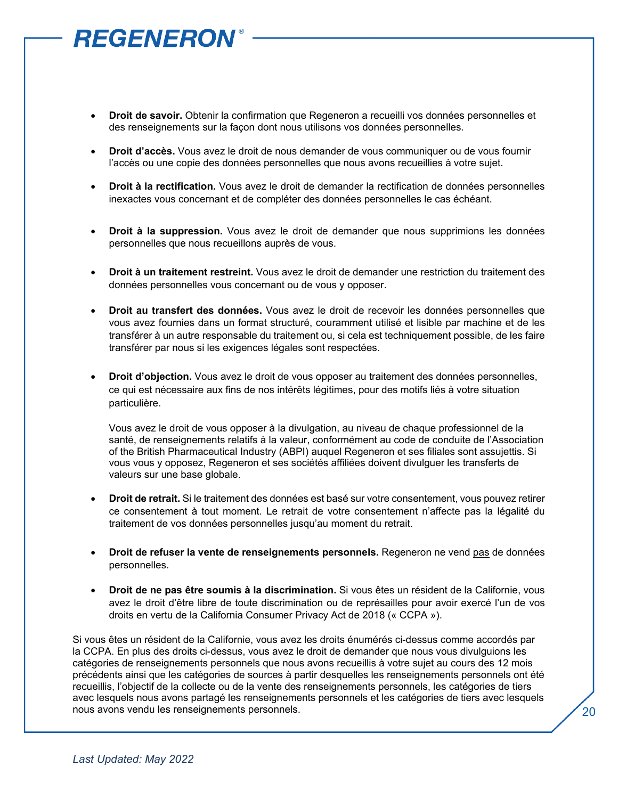- **Droit de savoir.** Obtenir la confirmation que Regeneron a recueilli vos données personnelles et des renseignements sur la façon dont nous utilisons vos données personnelles.
- **Droit d'accès.** Vous avez le droit de nous demander de vous communiquer ou de vous fournir l'accès ou une copie des données personnelles que nous avons recueillies à votre sujet.
- **Droit à la rectification.** Vous avez le droit de demander la rectification de données personnelles inexactes vous concernant et de compléter des données personnelles le cas échéant.
- **Droit à la suppression.** Vous avez le droit de demander que nous supprimions les données personnelles que nous recueillons auprès de vous.
- **Droit à un traitement restreint.** Vous avez le droit de demander une restriction du traitement des données personnelles vous concernant ou de vous y opposer.
- **Droit au transfert des données.** Vous avez le droit de recevoir les données personnelles que vous avez fournies dans un format structuré, couramment utilisé et lisible par machine et de les transférer à un autre responsable du traitement ou, si cela est techniquement possible, de les faire transférer par nous si les exigences légales sont respectées.
- **Droit d'objection.** Vous avez le droit de vous opposer au traitement des données personnelles, ce qui est nécessaire aux fins de nos intérêts légitimes, pour des motifs liés à votre situation particulière.

Vous avez le droit de vous opposer à la divulgation, au niveau de chaque professionnel de la santé, de renseignements relatifs à la valeur, conformément au code de conduite de l'Association of the British Pharmaceutical Industry (ABPI) auquel Regeneron et ses filiales sont assujettis. Si vous vous y opposez, Regeneron et ses sociétés affiliées doivent divulguer les transferts de valeurs sur une base globale.

- **Droit de retrait.** Si le traitement des données est basé sur votre consentement, vous pouvez retirer ce consentement à tout moment. Le retrait de votre consentement n'affecte pas la légalité du traitement de vos données personnelles jusqu'au moment du retrait.
- **Droit de refuser la vente de renseignements personnels.** Regeneron ne vend pas de données personnelles.
- **Droit de ne pas être soumis à la discrimination.** Si vous êtes un résident de la Californie, vous avez le droit d'être libre de toute discrimination ou de représailles pour avoir exercé l'un de vos droits en vertu de la California Consumer Privacy Act de 2018 (« CCPA »).

Si vous êtes un résident de la Californie, vous avez les droits énumérés ci-dessus comme accordés par la CCPA. En plus des droits ci-dessus, vous avez le droit de demander que nous vous divulguions les catégories de renseignements personnels que nous avons recueillis à votre sujet au cours des 12 mois précédents ainsi que les catégories de sources à partir desquelles les renseignements personnels ont été recueillis, l'objectif de la collecte ou de la vente des renseignements personnels, les catégories de tiers avec lesquels nous avons partagé les renseignements personnels et les catégories de tiers avec lesquels nous avons vendu les renseignements personnels.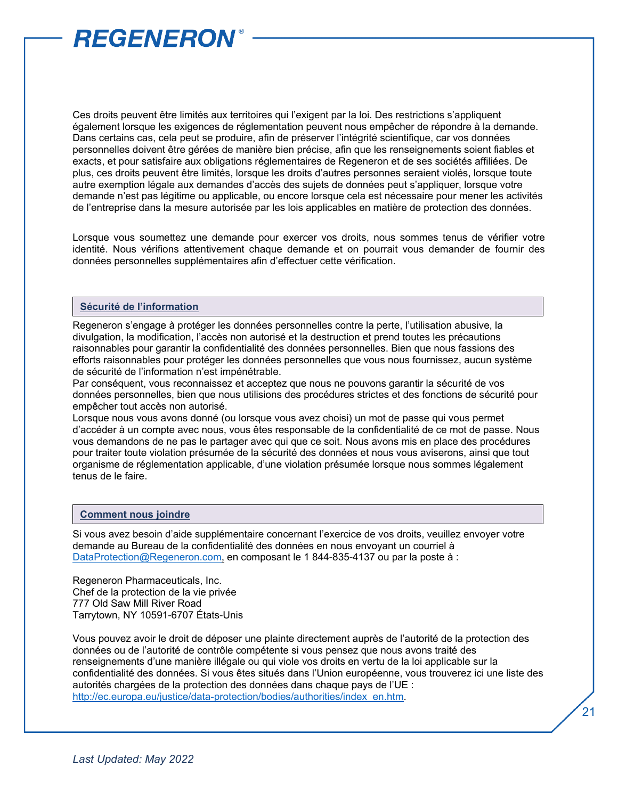Ces droits peuvent être limités aux territoires qui l'exigent par la loi. Des restrictions s'appliquent également lorsque les exigences de réglementation peuvent nous empêcher de répondre à la demande. Dans certains cas, cela peut se produire, afin de préserver l'intégrité scientifique, car vos données personnelles doivent être gérées de manière bien précise, afin que les renseignements soient fiables et exacts, et pour satisfaire aux obligations réglementaires de Regeneron et de ses sociétés affiliées. De plus, ces droits peuvent être limités, lorsque les droits d'autres personnes seraient violés, lorsque toute autre exemption légale aux demandes d'accès des sujets de données peut s'appliquer, lorsque votre demande n'est pas légitime ou applicable, ou encore lorsque cela est nécessaire pour mener les activités de l'entreprise dans la mesure autorisée par les lois applicables en matière de protection des données.

Lorsque vous soumettez une demande pour exercer vos droits, nous sommes tenus de vérifier votre identité. Nous vérifions attentivement chaque demande et on pourrait vous demander de fournir des données personnelles supplémentaires afin d'effectuer cette vérification.

#### **Sécurité de l'information**

Regeneron s'engage à protéger les données personnelles contre la perte, l'utilisation abusive, la divulgation, la modification, l'accès non autorisé et la destruction et prend toutes les précautions raisonnables pour garantir la confidentialité des données personnelles. Bien que nous fassions des efforts raisonnables pour protéger les données personnelles que vous nous fournissez, aucun système de sécurité de l'information n'est impénétrable.

Par conséquent, vous reconnaissez et acceptez que nous ne pouvons garantir la sécurité de vos données personnelles, bien que nous utilisions des procédures strictes et des fonctions de sécurité pour empêcher tout accès non autorisé.

Lorsque nous vous avons donné (ou lorsque vous avez choisi) un mot de passe qui vous permet d'accéder à un compte avec nous, vous êtes responsable de la confidentialité de ce mot de passe. Nous vous demandons de ne pas le partager avec qui que ce soit. Nous avons mis en place des procédures pour traiter toute violation présumée de la sécurité des données et nous vous aviserons, ainsi que tout organisme de réglementation applicable, d'une violation présumée lorsque nous sommes légalement tenus de le faire.

#### **Comment nous joindre**

Si vous avez besoin d'aide supplémentaire concernant l'exercice de vos droits, veuillez envoyer votre demande au Bureau de la confidentialité des données en nous envoyant un courriel à [DataProtection@Regeneron.com,](mailto:DataProtection@Regeneron.com) en composant le 1 844-835-4137 ou par la poste à :

Regeneron Pharmaceuticals, Inc. Chef de la protection de la vie privée 777 Old Saw Mill River Road Tarrytown, NY 10591-6707 États-Unis

Vous pouvez avoir le droit de déposer une plainte directement auprès de l'autorité de la protection des données ou de l'autorité de contrôle compétente si vous pensez que nous avons traité des renseignements d'une manière illégale ou qui viole vos droits en vertu de la loi applicable sur la confidentialité des données. Si vous êtes situés dans l'Union européenne, vous trouverez ici une liste des autorités chargées de la protection des données dans chaque pays de l'UE : [http://ec.europa.eu/justice/data-protection/bodies/authorities/index\\_en.htm.](http://ec.europa.eu/justice/data-protection/bodies/authorities/index_en.htm)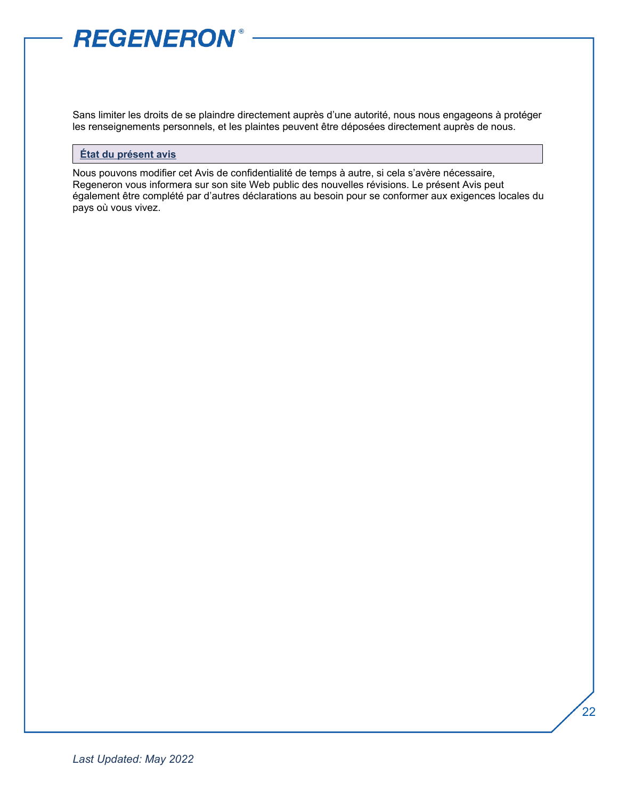Sans limiter les droits de se plaindre directement auprès d'une autorité, nous nous engageons à protéger les renseignements personnels, et les plaintes peuvent être déposées directement auprès de nous.

#### **État du présent avis**

Nous pouvons modifier cet Avis de confidentialité de temps à autre, si cela s'avère nécessaire, Regeneron vous informera sur son site Web public des nouvelles révisions. Le présent Avis peut également être complété par d'autres déclarations au besoin pour se conformer aux exigences locales du pays où vous vivez.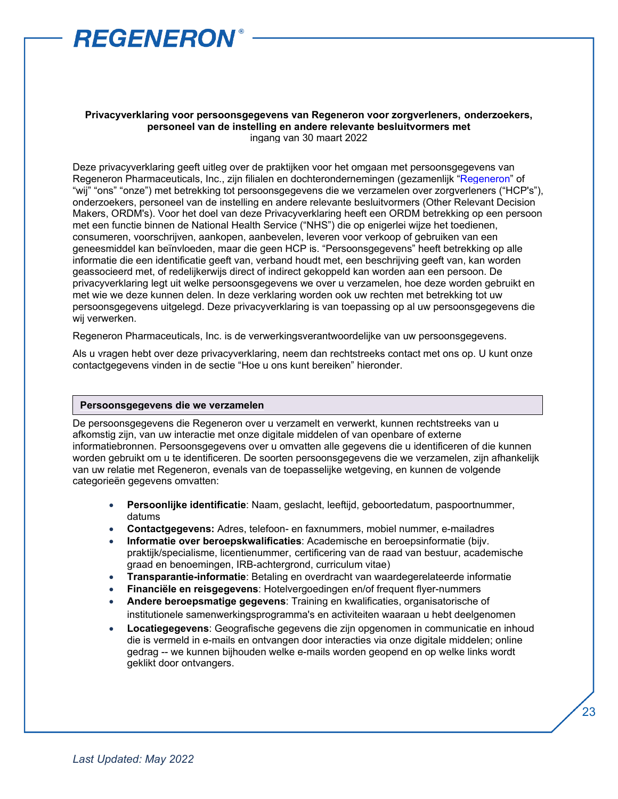

#### **Privacyverklaring voor persoonsgegevens van Regeneron voor zorgverleners, onderzoekers, personeel van de instelling en andere relevante besluitvormers met** ingang van 30 maart 2022

Deze privacyverklaring geeft uitleg over de praktijken voor het omgaan met persoonsgegevens van Regeneron Pharmaceuticals, Inc., zijn filialen en dochterondernemingen (gezamenlijk ["Regeneron"](https://regn.sharepoint.com/:p:/r/sites/RON/Accounting/_layouts/15/Doc.aspx?sourcedoc=%7b5B82AEC6-386E-40C8-BCA8-E9F799FA5F0F%7d&file=Regeneron%20Legal%20Entity%20Chart.pptx&action=edit&mobileredirect=true&DefaultItemOpen=1&cid=1bdd2349-b62f-40d7-9a9f-afe078f59b43&CID=BA876916-46A2-4B2D-B85F-6E9AD2333415&wdLOR=cBE755280-CC17-4EEC-85A9-E83914CEA243) of "wij" "ons" "onze") met betrekking tot persoonsgegevens die we verzamelen over zorgverleners ("HCP's"), onderzoekers, personeel van de instelling en andere relevante besluitvormers (Other Relevant Decision Makers, ORDM's). Voor het doel van deze Privacyverklaring heeft een ORDM betrekking op een persoon met een functie binnen de National Health Service ("NHS") die op enigerlei wijze het toedienen, consumeren, voorschrijven, aankopen, aanbevelen, leveren voor verkoop of gebruiken van een geneesmiddel kan beïnvloeden, maar die geen HCP is. "Persoonsgegevens" heeft betrekking op alle informatie die een identificatie geeft van, verband houdt met, een beschrijving geeft van, kan worden geassocieerd met, of redelijkerwijs direct of indirect gekoppeld kan worden aan een persoon. De privacyverklaring legt uit welke persoonsgegevens we over u verzamelen, hoe deze worden gebruikt en met wie we deze kunnen delen. In deze verklaring worden ook uw rechten met betrekking tot uw persoonsgegevens uitgelegd. Deze privacyverklaring is van toepassing op al uw persoonsgegevens die wij verwerken.

Regeneron Pharmaceuticals, Inc. is de verwerkingsverantwoordelijke van uw persoonsgegevens.

Als u vragen hebt over deze privacyverklaring, neem dan rechtstreeks contact met ons op. U kunt onze contactgegevens vinden in de sectie "Hoe u ons kunt bereiken" hieronder.

#### **Persoonsgegevens die we verzamelen**

De persoonsgegevens die Regeneron over u verzamelt en verwerkt, kunnen rechtstreeks van u afkomstig zijn, van uw interactie met onze digitale middelen of van openbare of externe informatiebronnen. Persoonsgegevens over u omvatten alle gegevens die u identificeren of die kunnen worden gebruikt om u te identificeren. De soorten persoonsgegevens die we verzamelen, zijn afhankelijk van uw relatie met Regeneron, evenals van de toepasselijke wetgeving, en kunnen de volgende categorieën gegevens omvatten:

- **Persoonlijke identificatie**: Naam, geslacht, leeftijd, geboortedatum, paspoortnummer, datums
- **Contactgegevens:** Adres, telefoon- en faxnummers, mobiel nummer, e-mailadres
- **Informatie over beroepskwalificaties**: Academische en beroepsinformatie (bijv. praktijk/specialisme, licentienummer, certificering van de raad van bestuur, academische graad en benoemingen, IRB-achtergrond, curriculum vitae)
- **Transparantie-informatie**: Betaling en overdracht van waardegerelateerde informatie
- **Financiële en reisgegevens**: Hotelvergoedingen en/of frequent flyer-nummers
- **Andere beroepsmatige gegevens**: Training en kwalificaties, organisatorische of institutionele samenwerkingsprogramma's en activiteiten waaraan u hebt deelgenomen
- **Locatiegegevens**: Geografische gegevens die zijn opgenomen in communicatie en inhoud die is vermeld in e-mails en ontvangen door interacties via onze digitale middelen; online gedrag -- we kunnen bijhouden welke e-mails worden geopend en op welke links wordt geklikt door ontvangers.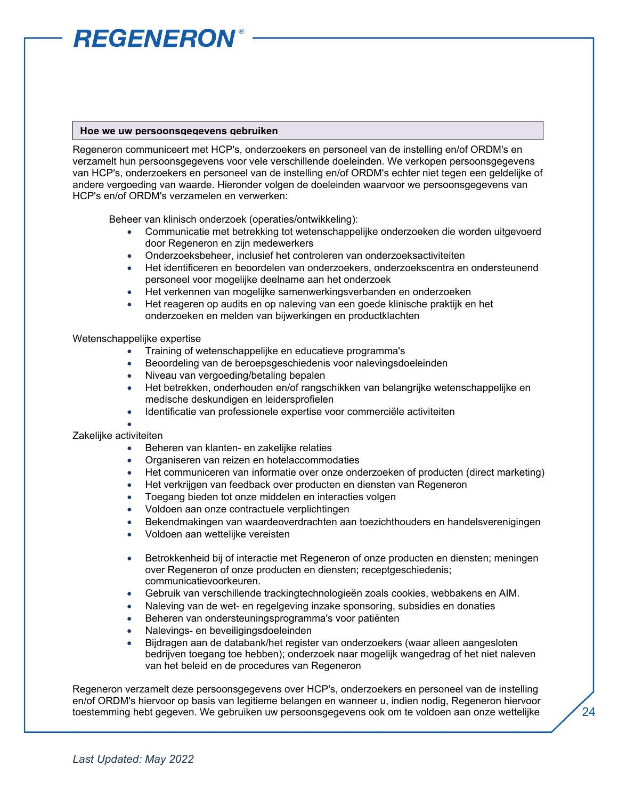#### **Hoe we uw persoonsgegevens gebruiken**

Regeneron communiceert met HCP's, onderzoekers en personeel van de instelling en/of ORDM's en verzamelt hun persoonsgegevens voor vele verschillende doeleinden. We verkopen persoonsgegevens van HCP's, onderzoekers en personeel van de instelling en/of ORDM's echter niet tegen een geldelijke of andere vergoeding van waarde. Hieronder volgen de doeleinden waarvoor we persoonsgegevens van HCP's en/of ORDM's verzamelen en verwerken:

Beheer van klinisch onderzoek (operaties/ontwikkeling):

- Communicatie met betrekking tot wetenschappelijke onderzoeken die worden uitgevoerd door Regeneron en zijn medewerkers
- Onderzoeksbeheer, inclusief het controleren van onderzoeksactiviteiten
- Het identificeren en beoordelen van onderzoekers, onderzoekscentra en ondersteunend personeel voor mogelijke deelname aan het onderzoek
- Het verkennen van mogelijke samenwerkingsverbanden en onderzoeken
- Het reageren op audits en op naleving van een goede klinische praktijk en het onderzoeken en melden van bijwerkingen en productklachten

#### Wetenschappelijke expertise

- Training of wetenschappelijke en educatieve programma's
- Beoordeling van de beroepsgeschiedenis voor nalevingsdoeleinden
- Niveau van vergoeding/betaling bepalen
- Het betrekken, onderhouden en/of rangschikken van belangrijke wetenschappelijke en medische deskundigen en leidersprofielen
- Identificatie van professionele expertise voor commerciële activiteiten
- •

#### Zakelijke activiteiten

- Beheren van klanten- en zakelijke relaties
- Organiseren van reizen en hotelaccommodaties
- Het communiceren van informatie over onze onderzoeken of producten (direct marketing)
- Het verkrijgen van feedback over producten en diensten van Regeneron
- Toegang bieden tot onze middelen en interacties volgen
- Voldoen aan onze contractuele verplichtingen
- Bekendmakingen van waardeoverdrachten aan toezichthouders en handelsverenigingen
- Voldoen aan wettelijke vereisten
- Betrokkenheid bij of interactie met Regeneron of onze producten en diensten; meningen over Regeneron of onze producten en diensten; receptgeschiedenis; communicatievoorkeuren.
- Gebruik van verschillende trackingtechnologieën zoals cookies, webbakens en AIM.
- Naleving van de wet- en regelgeving inzake sponsoring, subsidies en donaties
- Beheren van ondersteuningsprogramma's voor patiënten
- Nalevings- en beveiligingsdoeleinden
- Bijdragen aan de databank/het register van onderzoekers (waar alleen aangesloten bedrijven toegang toe hebben); onderzoek naar mogelijk wangedrag of het niet naleven van het beleid en de procedures van Regeneron

Regeneron verzamelt deze persoonsgegevens over HCP's, onderzoekers en personeel van de instelling en/of ORDM's hiervoor op basis van legitieme belangen en wanneer u, indien nodig, Regeneron hiervoor toestemming hebt gegeven. We gebruiken uw persoonsgegevens ook om te voldoen aan onze wettelijke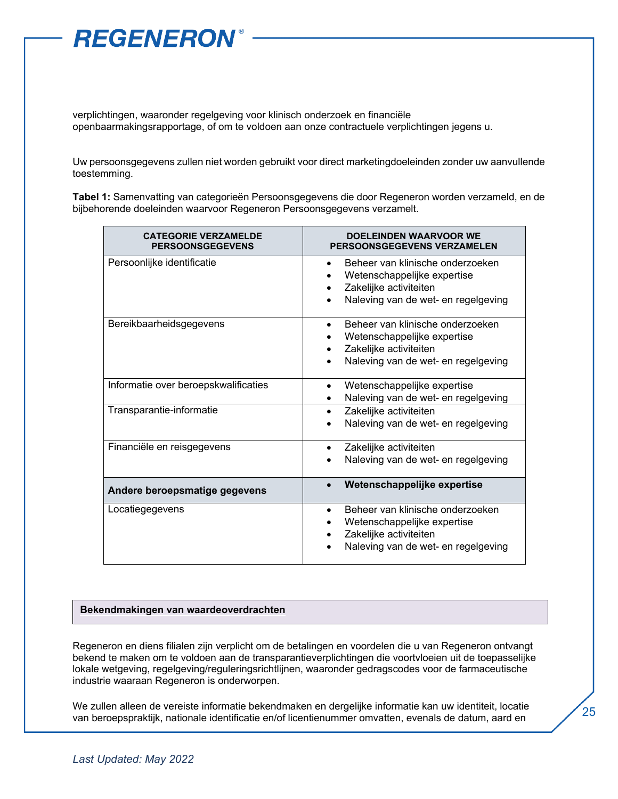

verplichtingen, waaronder regelgeving voor klinisch onderzoek en financiële openbaarmakingsrapportage, of om te voldoen aan onze contractuele verplichtingen jegens u.

Uw persoonsgegevens zullen niet worden gebruikt voor direct marketingdoeleinden zonder uw aanvullende toestemming.

**Tabel 1:** Samenvatting van categorieën Persoonsgegevens die door Regeneron worden verzameld, en de bijbehorende doeleinden waarvoor Regeneron Persoonsgegevens verzamelt.

| <b>CATEGORIE VERZAMELDE</b><br><b>PERSOONSGEGEVENS</b> | <b>DOELEINDEN WAARVOOR WE</b><br>PERSOONSGEGEVENS VERZAMELEN                                                                     |
|--------------------------------------------------------|----------------------------------------------------------------------------------------------------------------------------------|
| Persoonlijke identificatie                             | Beheer van klinische onderzoeken<br>Wetenschappelijke expertise<br>Zakelijke activiteiten<br>Naleving van de wet- en regelgeving |
| Bereikbaarheidsgegevens                                | Beheer van klinische onderzoeken<br>Wetenschappelijke expertise<br>Zakelijke activiteiten<br>Naleving van de wet- en regelgeving |
| Informatie over beroepskwalificaties                   | Wetenschappelijke expertise<br>٠<br>Naleving van de wet- en regelgeving                                                          |
| Transparantie-informatie                               | Zakelijke activiteiten<br>Naleving van de wet- en regelgeving                                                                    |
| Financiële en reisgegevens                             | Zakelijke activiteiten<br>Naleving van de wet- en regelgeving                                                                    |
| Andere beroepsmatige gegevens                          | Wetenschappelijke expertise                                                                                                      |
| Locatiegegevens                                        | Beheer van klinische onderzoeken<br>Wetenschappelijke expertise<br>Zakelijke activiteiten<br>Naleving van de wet- en regelgeving |

#### **Bekendmakingen van waardeoverdrachten**

Regeneron en diens filialen zijn verplicht om de betalingen en voordelen die u van Regeneron ontvangt bekend te maken om te voldoen aan de transparantieverplichtingen die voortvloeien uit de toepasselijke lokale wetgeving, regelgeving/reguleringsrichtlijnen, waaronder gedragscodes voor de farmaceutische industrie waaraan Regeneron is onderworpen.

We zullen alleen de vereiste informatie bekendmaken en dergelijke informatie kan uw identiteit, locatie van beroepspraktijk, nationale identificatie en/of licentienummer omvatten, evenals de datum, aard en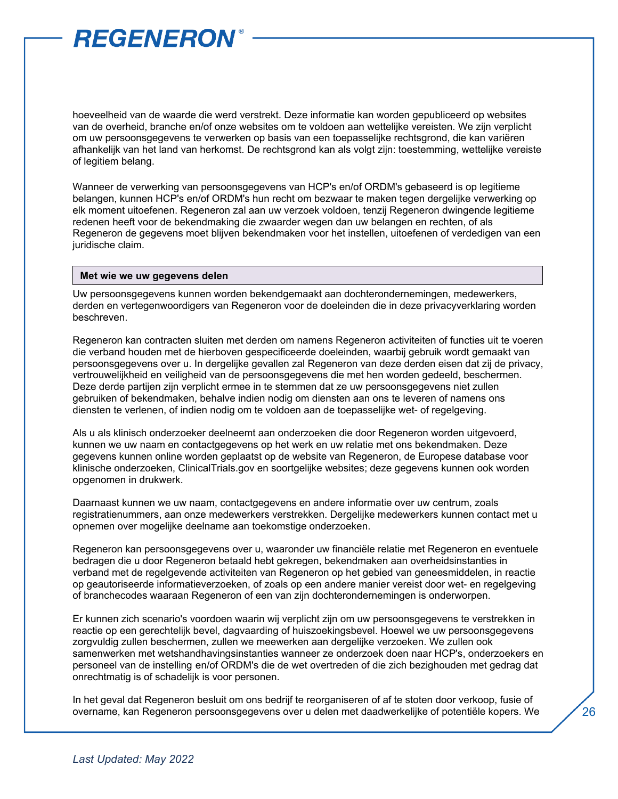hoeveelheid van de waarde die werd verstrekt. Deze informatie kan worden gepubliceerd op websites van de overheid, branche en/of onze websites om te voldoen aan wettelijke vereisten. We zijn verplicht om uw persoonsgegevens te verwerken op basis van een toepasselijke rechtsgrond, die kan variëren afhankelijk van het land van herkomst. De rechtsgrond kan als volgt zijn: toestemming, wettelijke vereiste of legitiem belang.

Wanneer de verwerking van persoonsgegevens van HCP's en/of ORDM's gebaseerd is op legitieme belangen, kunnen HCP's en/of ORDM's hun recht om bezwaar te maken tegen dergelijke verwerking op elk moment uitoefenen. Regeneron zal aan uw verzoek voldoen, tenzij Regeneron dwingende legitieme redenen heeft voor de bekendmaking die zwaarder wegen dan uw belangen en rechten, of als Regeneron de gegevens moet blijven bekendmaken voor het instellen, uitoefenen of verdedigen van een juridische claim.

#### **Met wie we uw gegevens delen**

Uw persoonsgegevens kunnen worden bekendgemaakt aan dochterondernemingen, medewerkers, derden en vertegenwoordigers van Regeneron voor de doeleinden die in deze privacyverklaring worden beschreven.

Regeneron kan contracten sluiten met derden om namens Regeneron activiteiten of functies uit te voeren die verband houden met de hierboven gespecificeerde doeleinden, waarbij gebruik wordt gemaakt van persoonsgegevens over u. In dergelijke gevallen zal Regeneron van deze derden eisen dat zij de privacy, vertrouwelijkheid en veiligheid van de persoonsgegevens die met hen worden gedeeld, beschermen. Deze derde partijen zijn verplicht ermee in te stemmen dat ze uw persoonsgegevens niet zullen gebruiken of bekendmaken, behalve indien nodig om diensten aan ons te leveren of namens ons diensten te verlenen, of indien nodig om te voldoen aan de toepasselijke wet- of regelgeving.

Als u als klinisch onderzoeker deelneemt aan onderzoeken die door Regeneron worden uitgevoerd, kunnen we uw naam en contactgegevens op het werk en uw relatie met ons bekendmaken. Deze gegevens kunnen online worden geplaatst op de website van Regeneron, de Europese database voor klinische onderzoeken, ClinicalTrials.gov en soortgelijke websites; deze gegevens kunnen ook worden opgenomen in drukwerk.

Daarnaast kunnen we uw naam, contactgegevens en andere informatie over uw centrum, zoals registratienummers, aan onze medewerkers verstrekken. Dergelijke medewerkers kunnen contact met u opnemen over mogelijke deelname aan toekomstige onderzoeken.

Regeneron kan persoonsgegevens over u, waaronder uw financiële relatie met Regeneron en eventuele bedragen die u door Regeneron betaald hebt gekregen, bekendmaken aan overheidsinstanties in verband met de regelgevende activiteiten van Regeneron op het gebied van geneesmiddelen, in reactie op geautoriseerde informatieverzoeken, of zoals op een andere manier vereist door wet- en regelgeving of branchecodes waaraan Regeneron of een van zijn dochterondernemingen is onderworpen.

Er kunnen zich scenario's voordoen waarin wij verplicht zijn om uw persoonsgegevens te verstrekken in reactie op een gerechtelijk bevel, dagvaarding of huiszoekingsbevel. Hoewel we uw persoonsgegevens zorgvuldig zullen beschermen, zullen we meewerken aan dergelijke verzoeken. We zullen ook samenwerken met wetshandhavingsinstanties wanneer ze onderzoek doen naar HCP's, onderzoekers en personeel van de instelling en/of ORDM's die de wet overtreden of die zich bezighouden met gedrag dat onrechtmatig is of schadelijk is voor personen.

In het geval dat Regeneron besluit om ons bedrijf te reorganiseren of af te stoten door verkoop, fusie of overname, kan Regeneron persoonsgegevens over u delen met daadwerkelijke of potentiële kopers. We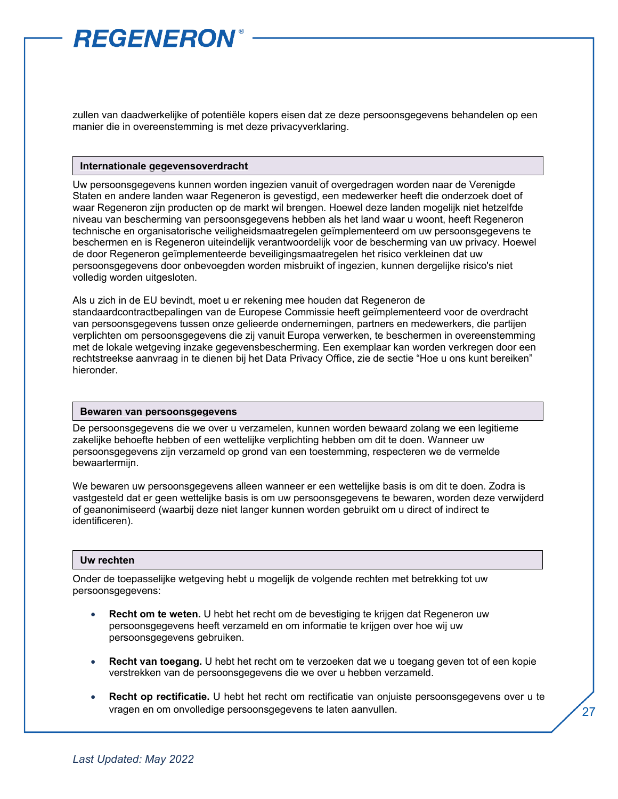zullen van daadwerkelijke of potentiële kopers eisen dat ze deze persoonsgegevens behandelen op een manier die in overeenstemming is met deze privacyverklaring.

#### **Internationale gegevensoverdracht**

Uw persoonsgegevens kunnen worden ingezien vanuit of overgedragen worden naar de Verenigde Staten en andere landen waar Regeneron is gevestigd, een medewerker heeft die onderzoek doet of waar Regeneron zijn producten op de markt wil brengen. Hoewel deze landen mogelijk niet hetzelfde niveau van bescherming van persoonsgegevens hebben als het land waar u woont, heeft Regeneron technische en organisatorische veiligheidsmaatregelen geïmplementeerd om uw persoonsgegevens te beschermen en is Regeneron uiteindelijk verantwoordelijk voor de bescherming van uw privacy. Hoewel de door Regeneron geïmplementeerde beveiligingsmaatregelen het risico verkleinen dat uw persoonsgegevens door onbevoegden worden misbruikt of ingezien, kunnen dergelijke risico's niet volledig worden uitgesloten.

Als u zich in de EU bevindt, moet u er rekening mee houden dat Regeneron de standaardcontractbepalingen van de Europese Commissie heeft geïmplementeerd voor de overdracht van persoonsgegevens tussen onze gelieerde ondernemingen, partners en medewerkers, die partijen verplichten om persoonsgegevens die zij vanuit Europa verwerken, te beschermen in overeenstemming met de lokale wetgeving inzake gegevensbescherming. Een exemplaar kan worden verkregen door een rechtstreekse aanvraag in te dienen bij het Data Privacy Office, zie de sectie "Hoe u ons kunt bereiken" hieronder.

#### **Bewaren van persoonsgegevens**

De persoonsgegevens die we over u verzamelen, kunnen worden bewaard zolang we een legitieme zakelijke behoefte hebben of een wettelijke verplichting hebben om dit te doen. Wanneer uw persoonsgegevens zijn verzameld op grond van een toestemming, respecteren we de vermelde bewaartermijn.

We bewaren uw persoonsgegevens alleen wanneer er een wettelijke basis is om dit te doen. Zodra is vastgesteld dat er geen wettelijke basis is om uw persoonsgegevens te bewaren, worden deze verwijderd of geanonimiseerd (waarbij deze niet langer kunnen worden gebruikt om u direct of indirect te identificeren).

#### **Uw rechten**

Onder de toepasselijke wetgeving hebt u mogelijk de volgende rechten met betrekking tot uw persoonsgegevens:

- **Recht om te weten.** U hebt het recht om de bevestiging te krijgen dat Regeneron uw persoonsgegevens heeft verzameld en om informatie te krijgen over hoe wij uw persoonsgegevens gebruiken.
- **Recht van toegang.** U hebt het recht om te verzoeken dat we u toegang geven tot of een kopie verstrekken van de persoonsgegevens die we over u hebben verzameld.
- **Recht op rectificatie.** U hebt het recht om rectificatie van onjuiste persoonsgegevens over u te vragen en om onvolledige persoonsgegevens te laten aanvullen.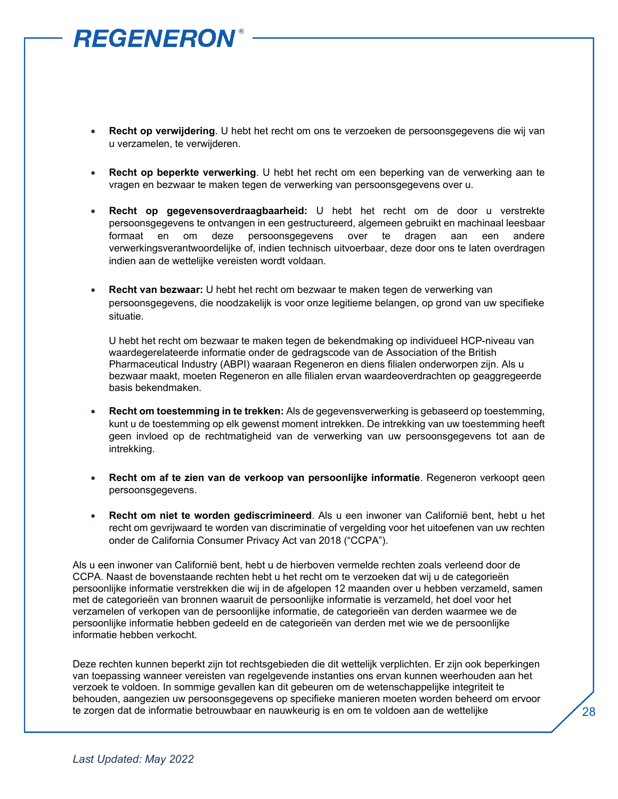- **Recht op verwijdering**. U hebt het recht om ons te verzoeken de persoonsgegevens die wij van u verzamelen, te verwijderen.
- **Recht op beperkte verwerking**. U hebt het recht om een beperking van de verwerking aan te vragen en bezwaar te maken tegen de verwerking van persoonsgegevens over u.
- **Recht op gegevensoverdraagbaarheid:** U hebt het recht om de door u verstrekte persoonsgegevens te ontvangen in een gestructureerd, algemeen gebruikt en machinaal leesbaar formaat en om deze persoonsgegevens over te dragen aan een andere verwerkingsverantwoordelijke of, indien technisch uitvoerbaar, deze door ons te laten overdragen indien aan de wettelijke vereisten wordt voldaan.
- **Recht van bezwaar:** U hebt het recht om bezwaar te maken tegen de verwerking van persoonsgegevens, die noodzakelijk is voor onze legitieme belangen, op grond van uw specifieke situatie.

U hebt het recht om bezwaar te maken tegen de bekendmaking op individueel HCP-niveau van waardegerelateerde informatie onder de gedragscode van de Association of the British Pharmaceutical Industry (ABPI) waaraan Regeneron en diens filialen onderworpen zijn. Als u bezwaar maakt, moeten Regeneron en alle filialen ervan waardeoverdrachten op geaggregeerde basis bekendmaken.

- **Recht om toestemming in te trekken:** Als de gegevensverwerking is gebaseerd op toestemming, kunt u de toestemming op elk gewenst moment intrekken. De intrekking van uw toestemming heeft geen invloed op de rechtmatigheid van de verwerking van uw persoonsgegevens tot aan de intrekking.
- **Recht om af te zien van de verkoop van persoonlijke informatie**. Regeneron verkoopt geen persoonsgegevens.
- **Recht om niet te worden gediscrimineerd**. Als u een inwoner van Californië bent, hebt u het recht om gevrijwaard te worden van discriminatie of vergelding voor het uitoefenen van uw rechten onder de California Consumer Privacy Act van 2018 ("CCPA").

Als u een inwoner van Californië bent, hebt u de hierboven vermelde rechten zoals verleend door de CCPA. Naast de bovenstaande rechten hebt u het recht om te verzoeken dat wij u de categorieën persoonlijke informatie verstrekken die wij in de afgelopen 12 maanden over u hebben verzameld, samen met de categorieën van bronnen waaruit de persoonlijke informatie is verzameld, het doel voor het verzamelen of verkopen van de persoonlijke informatie, de categorieën van derden waarmee we de persoonlijke informatie hebben gedeeld en de categorieën van derden met wie we de persoonlijke informatie hebben verkocht.

Deze rechten kunnen beperkt zijn tot rechtsgebieden die dit wettelijk verplichten. Er zijn ook beperkingen van toepassing wanneer vereisten van regelgevende instanties ons ervan kunnen weerhouden aan het verzoek te voldoen. In sommige gevallen kan dit gebeuren om de wetenschappelijke integriteit te behouden, aangezien uw persoonsgegevens op specifieke manieren moeten worden beheerd om ervoor te zorgen dat de informatie betrouwbaar en nauwkeurig is en om te voldoen aan de wettelijke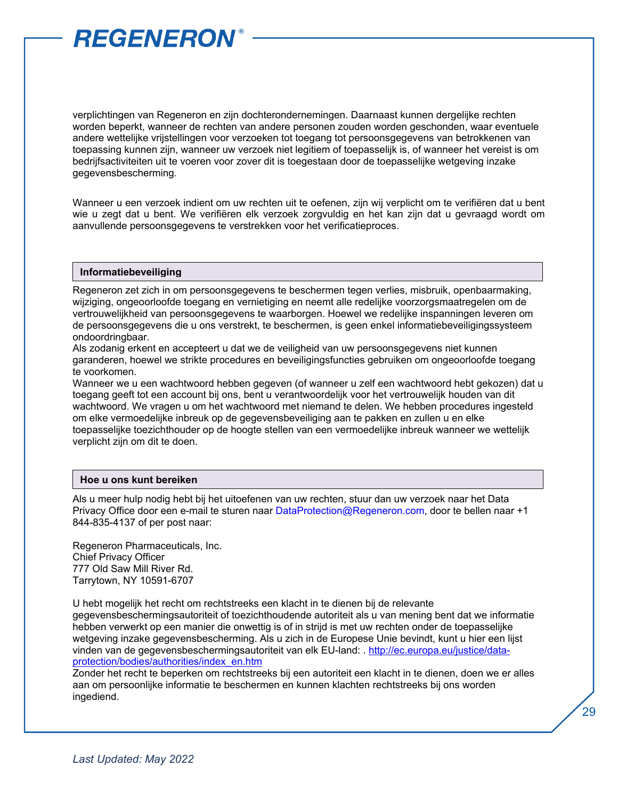verplichtingen van Regeneron en zijn dochterondernemingen. Daarnaast kunnen dergelijke rechten worden beperkt, wanneer de rechten van andere personen zouden worden geschonden, waar eventuele andere wettelijke vrijstellingen voor verzoeken tot toegang tot persoonsgegevens van betrokkenen van toepassing kunnen zijn, wanneer uw verzoek niet legitiem of toepasselijk is, of wanneer het vereist is om bedrijfsactiviteiten uit te voeren voor zover dit is toegestaan door de toepasselijke wetgeving inzake gegevensbescherming.

Wanneer u een verzoek indient om uw rechten uit te oefenen, zijn wij verplicht om te verifiëren dat u bent wie u zegt dat u bent. We verifiëren elk verzoek zorgvuldig en het kan zijn dat u gevraagd wordt om aanvullende persoonsgegevens te verstrekken voor het verificatieproces.

#### **Informatiebeveiliging**

Regeneron zet zich in om persoonsgegevens te beschermen tegen verlies, misbruik, openbaarmaking, wijziging, ongeoorloofde toegang en vernietiging en neemt alle redelijke voorzorgsmaatregelen om de vertrouwelijkheid van persoonsgegevens te waarborgen. Hoewel we redelijke inspanningen leveren om de persoonsgegevens die u ons verstrekt, te beschermen, is geen enkel informatiebeveiligingssysteem ondoordringbaar.

Als zodanig erkent en accepteert u dat we de veiligheid van uw persoonsgegevens niet kunnen garanderen, hoewel we strikte procedures en beveiligingsfuncties gebruiken om ongeoorloofde toegang te voorkomen.

Wanneer we u een wachtwoord hebben gegeven (of wanneer u zelf een wachtwoord hebt gekozen) dat u toegang geeft tot een account bij ons, bent u verantwoordelijk voor het vertrouwelijk houden van dit wachtwoord. We vragen u om het wachtwoord met niemand te delen. We hebben procedures ingesteld om elke vermoedelijke inbreuk op de gegevensbeveiliging aan te pakken en zullen u en elke toepasselijke toezichthouder op de hoogte stellen van een vermoedelijke inbreuk wanneer we wettelijk verplicht zijn om dit te doen.

#### **Hoe u ons kunt bereiken**

Als u meer hulp nodig hebt bij het uitoefenen van uw rechten, stuur dan uw verzoek naar het Data Privacy Office door een e-mail te sturen naar [DataProtection@Regeneron.com,](mailto:DataProtection@Regeneron.com) door te bellen naar +1 844-835-4137 of per post naar:

Regeneron Pharmaceuticals, Inc. Chief Privacy Officer 777 Old Saw Mill River Rd. Tarrytown, NY 10591-6707

U hebt mogelijk het recht om rechtstreeks een klacht in te dienen bij de relevante gegevensbeschermingsautoriteit of toezichthoudende autoriteit als u van mening bent dat we informatie hebben verwerkt op een manier die onwettig is of in strijd is met uw rechten onder de toepasselijke wetgeving inzake gegevensbescherming. Als u zich in de Europese Unie bevindt, kunt u hier een lijst vinden van de gegevensbeschermingsautoriteit van elk EU-land: . [http://ec.europa.eu/justice/data](http://ec.europa.eu/justice/data-protection/bodies/authorities/index_en.htm)[protection/bodies/authorities/index\\_en.htm](http://ec.europa.eu/justice/data-protection/bodies/authorities/index_en.htm)

Zonder het recht te beperken om rechtstreeks bij een autoriteit een klacht in te dienen, doen we er alles aan om persoonlijke informatie te beschermen en kunnen klachten rechtstreeks bij ons worden ingediend.